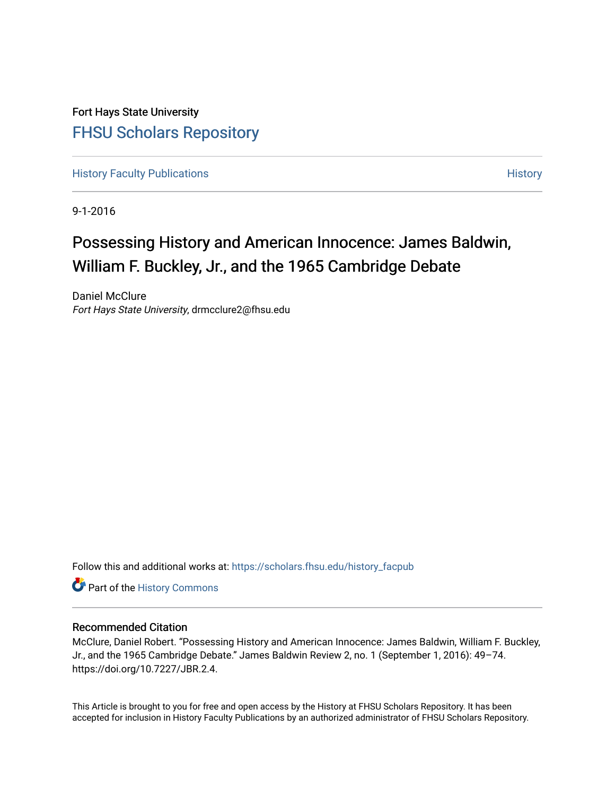Fort Hays State University [FHSU Scholars Repository](https://scholars.fhsu.edu/) 

[History Faculty Publications](https://scholars.fhsu.edu/history_facpub) **History** History

9-1-2016

# Possessing History and American Innocence: James Baldwin, William F. Buckley, Jr., and the 1965 Cambridge Debate

Daniel McClure Fort Hays State University, drmcclure2@fhsu.edu

Follow this and additional works at: [https://scholars.fhsu.edu/history\\_facpub](https://scholars.fhsu.edu/history_facpub?utm_source=scholars.fhsu.edu%2Fhistory_facpub%2F3&utm_medium=PDF&utm_campaign=PDFCoverPages)

Part of the [History Commons](http://network.bepress.com/hgg/discipline/489?utm_source=scholars.fhsu.edu%2Fhistory_facpub%2F3&utm_medium=PDF&utm_campaign=PDFCoverPages) 

## Recommended Citation

McClure, Daniel Robert. "Possessing History and American Innocence: James Baldwin, William F. Buckley, Jr., and the 1965 Cambridge Debate." James Baldwin Review 2, no. 1 (September 1, 2016): 49–74. https://doi.org/10.7227/JBR.2.4.

This Article is brought to you for free and open access by the History at FHSU Scholars Repository. It has been accepted for inclusion in History Faculty Publications by an authorized administrator of FHSU Scholars Repository.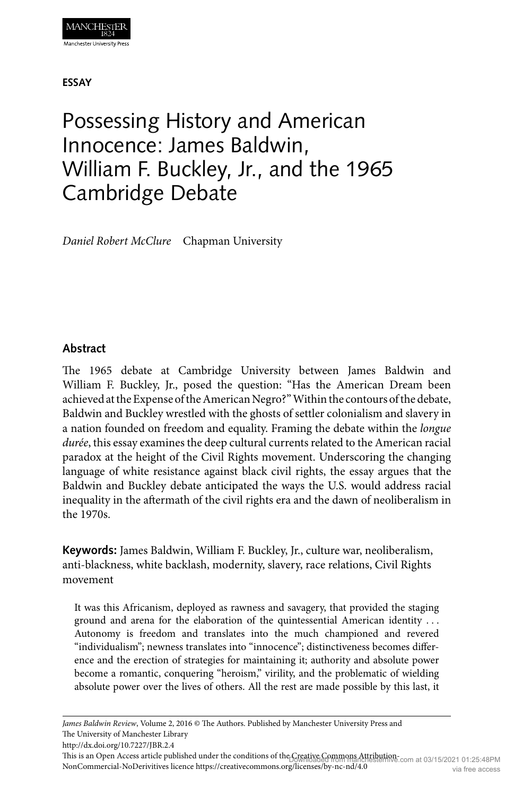**ESSAY**

## Possessing History and American Innocence: James Baldwin, William F. Buckley, Jr., and the 1965 Cambridge Debate

*Daniel Robert McClure* Chapman University

## **Abstract**

The 1965 debate at Cambridge University between James Baldwin and William F. Buckley, Jr., posed the question: "Has the American Dream been achieved at the Expense of the American Negro?" Within the contours of the debate, Baldwin and Buckley wrestled with the ghosts of settler colonialism and slavery in a nation founded on freedom and equality. Framing the debate within the *longue durée*, this essay examines the deep cultural currents related to the American racial paradox at the height of the Civil Rights movement. Underscoring the changing language of white resistance against black civil rights, the essay argues that the Baldwin and Buckley debate anticipated the ways the U.S. would address racial inequality in the aftermath of the civil rights era and the dawn of neoliberalism in the 1970s.

**Keywords:** James Baldwin, William F. Buckley, Jr., culture war, neoliberalism, anti-blackness, white backlash, modernity, slavery, race relations, Civil Rights movement

It was this Africanism, deployed as rawness and savagery, that provided the staging ground and arena for the elaboration of the quintessential American identity . . . Autonomy is freedom and translates into the much championed and revered "individualism"; newness translates into "innocence"; distinctiveness becomes difference and the erection of strategies for maintaining it; authority and absolute power become a romantic, conquering "heroism," virility, and the problematic of wielding absolute power over the lives of others. All the rest are made possible by this last, it

*James Baldwin Review*, Volume 2, 2016 © The Authors. Published by Manchester University Press and The University of Manchester Library

<http://dx.doi.org/10.7227/JBR.2.4>

This is an Open Access article published under the conditions of the Commons Attribution-com at 03/15/2021 01:25:48PM NonCommercial-NoDerivitives licence<https://creativecommons.org/licenses/by-nc-nd/4.0> via free access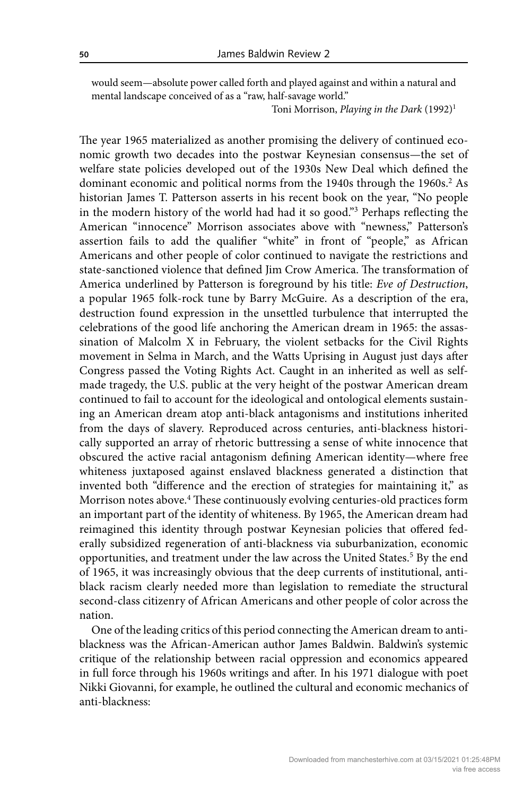would seem—absolute power called forth and played against and within a natural and mental landscape conceived of as a "raw, half-savage world."

Toni Morrison, *Playing in the Dark* (1992)1

The year 1965 materialized as another promising the delivery of continued economic growth two decades into the postwar Keynesian consensus—the set of welfare state policies developed out of the 1930s New Deal which defined the dominant economic and political norms from the 1940s through the 1960s.<sup>2</sup> As historian James T. Patterson asserts in his recent book on the year, "No people in the modern history of the world had had it so good."3 Perhaps reflecting the American "innocence" Morrison associates above with "newness," Patterson's assertion fails to add the qualifier "white" in front of "people," as African Americans and other people of color continued to navigate the restrictions and state-sanctioned violence that defined Jim Crow America. The transformation of America underlined by Patterson is foreground by his title: *Eve of Destruction*, a popular 1965 folk-rock tune by Barry McGuire. As a description of the era, destruction found expression in the unsettled turbulence that interrupted the celebrations of the good life anchoring the American dream in 1965: the assassination of Malcolm X in February, the violent setbacks for the Civil Rights movement in Selma in March, and the Watts Uprising in August just days after Congress passed the Voting Rights Act. Caught in an inherited as well as selfmade tragedy, the U.S. public at the very height of the postwar American dream continued to fail to account for the ideological and ontological elements sustaining an American dream atop anti-black antagonisms and institutions inherited from the days of slavery. Reproduced across centuries, anti-blackness historically supported an array of rhetoric buttressing a sense of white innocence that obscured the active racial antagonism defining American identity—where free whiteness juxtaposed against enslaved blackness generated a distinction that invented both "difference and the erection of strategies for maintaining it," as Morrison notes above.<sup>4</sup> These continuously evolving centuries-old practices form an important part of the identity of whiteness. By 1965, the American dream had reimagined this identity through postwar Keynesian policies that offered federally subsidized regeneration of anti-blackness via suburbanization, economic opportunities, and treatment under the law across the United States.<sup>5</sup> By the end of 1965, it was increasingly obvious that the deep currents of institutional, antiblack racism clearly needed more than legislation to remediate the structural second-class citizenry of African Americans and other people of color across the nation.

One of the leading critics of this period connecting the American dream to antiblackness was the African-American author James Baldwin. Baldwin's systemic critique of the relationship between racial oppression and economics appeared in full force through his 1960s writings and after. In his 1971 dialogue with poet Nikki Giovanni, for example, he outlined the cultural and economic mechanics of anti-blackness: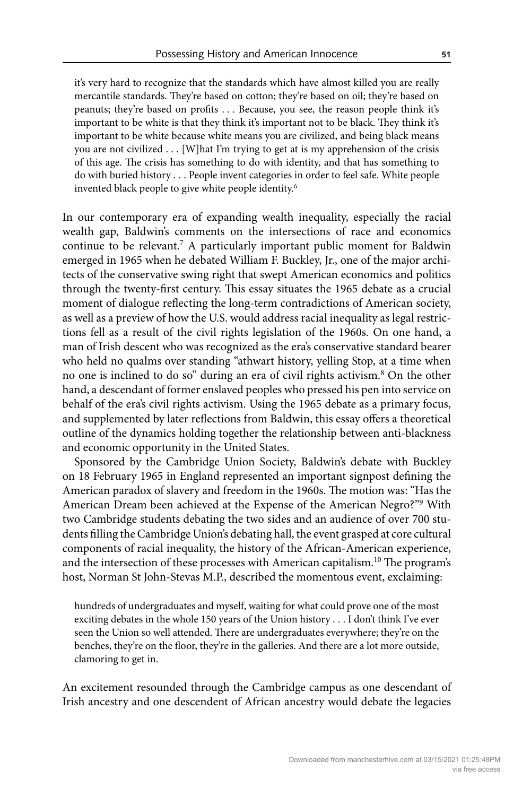it's very hard to recognize that the standards which have almost killed you are really mercantile standards. They're based on cotton; they're based on oil; they're based on peanuts; they're based on profits . . . Because, you see, the reason people think it's important to be white is that they think it's important not to be black. They think it's important to be white because white means you are civilized, and being black means you are not civilized . . . [W]hat I'm trying to get at is my apprehension of the crisis of this age. The crisis has something to do with identity, and that has something to do with buried history . . . People invent categories in order to feel safe. White people invented black people to give white people identity.6

In our contemporary era of expanding wealth inequality, especially the racial wealth gap, Baldwin's comments on the intersections of race and economics continue to be relevant.7 A particularly important public moment for Baldwin emerged in 1965 when he debated William F. Buckley, Jr., one of the major architects of the conservative swing right that swept American economics and politics through the twenty-first century. This essay situates the 1965 debate as a crucial moment of dialogue reflecting the long-term contradictions of American society, as well as a preview of how the U.S. would address racial inequality as legal restrictions fell as a result of the civil rights legislation of the 1960s. On one hand, a man of Irish descent who was recognized as the era's conservative standard bearer who held no qualms over standing "athwart history, yelling Stop, at a time when no one is inclined to do so" during an era of civil rights activism.8 On the other hand, a descendant of former enslaved peoples who pressed his pen into service on behalf of the era's civil rights activism. Using the 1965 debate as a primary focus, and supplemented by later reflections from Baldwin, this essay offers a theoretical outline of the dynamics holding together the relationship between anti-blackness and economic opportunity in the United States.

Sponsored by the Cambridge Union Society, Baldwin's debate with Buckley on 18 February 1965 in England represented an important signpost defining the American paradox of slavery and freedom in the 1960s. The motion was: "Has the American Dream been achieved at the Expense of the American Negro?"9 With two Cambridge students debating the two sides and an audience of over 700 students filling the Cambridge Union's debating hall, the event grasped at core cultural components of racial inequality, the history of the African-American experience, and the intersection of these processes with American capitalism.10 The program's host, Norman St John-Stevas M.P., described the momentous event, exclaiming:

hundreds of undergraduates and myself, waiting for what could prove one of the most exciting debates in the whole 150 years of the Union history . . . I don't think I've ever seen the Union so well attended. There are undergraduates everywhere; they're on the benches, they're on the floor, they're in the galleries. And there are a lot more outside, clamoring to get in.

An excitement resounded through the Cambridge campus as one descendant of Irish ancestry and one descendent of African ancestry would debate the legacies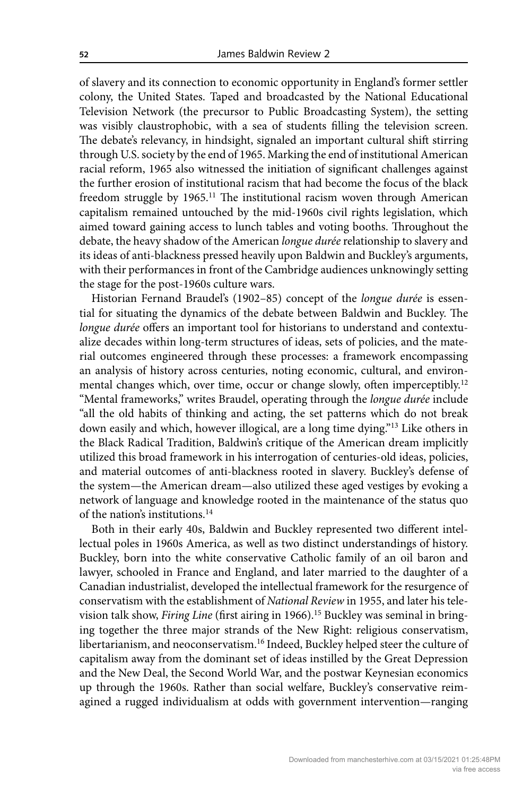of slavery and its connection to economic opportunity in England's former settler colony, the United States. Taped and broadcasted by the National Educational Television Network (the precursor to Public Broadcasting System), the setting was visibly claustrophobic, with a sea of students filling the television screen. The debate's relevancy, in hindsight, signaled an important cultural shift stirring through U.S. society by the end of 1965. Marking the end of institutional American racial reform, 1965 also witnessed the initiation of significant challenges against the further erosion of institutional racism that had become the focus of the black freedom struggle by 1965.<sup>11</sup> The institutional racism woven through American capitalism remained untouched by the mid-1960s civil rights legislation, which aimed toward gaining access to lunch tables and voting booths. Throughout the debate, the heavy shadow of the American *longue durée* relationship to slavery and its ideas of anti-blackness pressed heavily upon Baldwin and Buckley's arguments, with their performances in front of the Cambridge audiences unknowingly setting the stage for the post-1960s culture wars.

Historian Fernand Braudel's (1902–85) concept of the *longue durée* is essential for situating the dynamics of the debate between Baldwin and Buckley. The *longue durée* offers an important tool for historians to understand and contextualize decades within long-term structures of ideas, sets of policies, and the material outcomes engineered through these processes: a framework encompassing an analysis of history across centuries, noting economic, cultural, and environmental changes which, over time, occur or change slowly, often imperceptibly.<sup>12</sup> "Mental frameworks," writes Braudel, operating through the *longue durée* include "all the old habits of thinking and acting, the set patterns which do not break down easily and which, however illogical, are a long time dying."13 Like others in the Black Radical Tradition, Baldwin's critique of the American dream implicitly utilized this broad framework in his interrogation of centuries-old ideas, policies, and material outcomes of anti-blackness rooted in slavery. Buckley's defense of the system—the American dream—also utilized these aged vestiges by evoking a network of language and knowledge rooted in the maintenance of the status quo of the nation's institutions.14

Both in their early 40s, Baldwin and Buckley represented two different intellectual poles in 1960s America, as well as two distinct understandings of history. Buckley, born into the white conservative Catholic family of an oil baron and lawyer, schooled in France and England, and later married to the daughter of a Canadian industrialist, developed the intellectual framework for the resurgence of conservatism with the establishment of *National Review* in 1955, and later his television talk show, *Firing Line* (first airing in 1966).15 Buckley was seminal in bringing together the three major strands of the New Right: religious conservatism, libertarianism, and neoconservatism.<sup>16</sup> Indeed, Buckley helped steer the culture of capitalism away from the dominant set of ideas instilled by the Great Depression and the New Deal, the Second World War, and the postwar Keynesian economics up through the 1960s. Rather than social welfare, Buckley's conservative reimagined a rugged individualism at odds with government intervention—ranging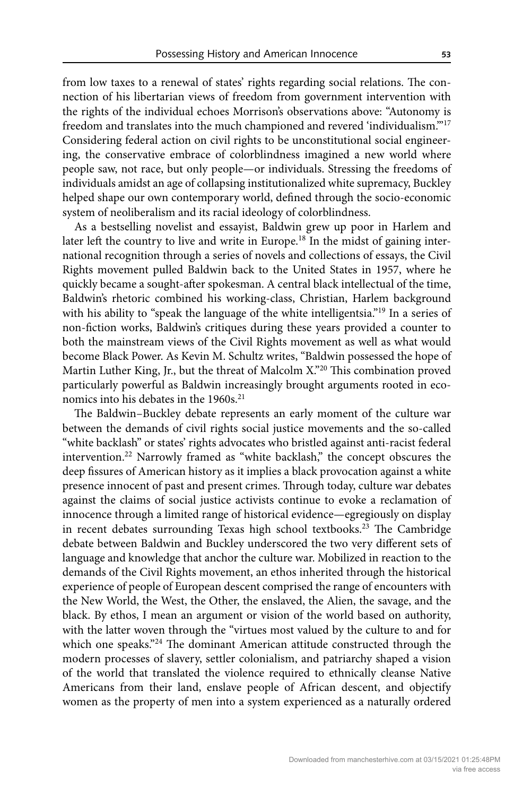from low taxes to a renewal of states' rights regarding social relations. The connection of his libertarian views of freedom from government intervention with the rights of the individual echoes Morrison's observations above: "Autonomy is freedom and translates into the much championed and revered 'individualism."<sup>17</sup> Considering federal action on civil rights to be unconstitutional social engineering, the conservative embrace of colorblindness imagined a new world where people saw, not race, but only people—or individuals. Stressing the freedoms of individuals amidst an age of collapsing institutionalized white supremacy, Buckley helped shape our own contemporary world, defined through the socio-economic system of neoliberalism and its racial ideology of colorblindness.

As a bestselling novelist and essayist, Baldwin grew up poor in Harlem and later left the country to live and write in Europe.<sup>18</sup> In the midst of gaining international recognition through a series of novels and collections of essays, the Civil Rights movement pulled Baldwin back to the United States in 1957, where he quickly became a sought-after spokesman. A central black intellectual of the time, Baldwin's rhetoric combined his working-class, Christian, Harlem background with his ability to "speak the language of the white intelligentsia."<sup>19</sup> In a series of non-fiction works, Baldwin's critiques during these years provided a counter to both the mainstream views of the Civil Rights movement as well as what would become Black Power. As Kevin M. Schultz writes, "Baldwin possessed the hope of Martin Luther King, Jr., but the threat of Malcolm X<sup>"20</sup> This combination proved particularly powerful as Baldwin increasingly brought arguments rooted in economics into his debates in the 1960s.<sup>21</sup>

The Baldwin–Buckley debate represents an early moment of the culture war between the demands of civil rights social justice movements and the so-called "white backlash" or states' rights advocates who bristled against anti-racist federal intervention.22 Narrowly framed as "white backlash," the concept obscures the deep fissures of American history as it implies a black provocation against a white presence innocent of past and present crimes. Through today, culture war debates against the claims of social justice activists continue to evoke a reclamation of innocence through a limited range of historical evidence—egregiously on display in recent debates surrounding Texas high school textbooks.23 The Cambridge debate between Baldwin and Buckley underscored the two very different sets of language and knowledge that anchor the culture war. Mobilized in reaction to the demands of the Civil Rights movement, an ethos inherited through the historical experience of people of European descent comprised the range of encounters with the New World, the West, the Other, the enslaved, the Alien, the savage, and the black. By ethos, I mean an argument or vision of the world based on authority, with the latter woven through the "virtues most valued by the culture to and for which one speaks."<sup>24</sup> The dominant American attitude constructed through the modern processes of slavery, settler colonialism, and patriarchy shaped a vision of the world that translated the violence required to ethnically cleanse Native Americans from their land, enslave people of African descent, and objectify women as the property of men into a system experienced as a naturally ordered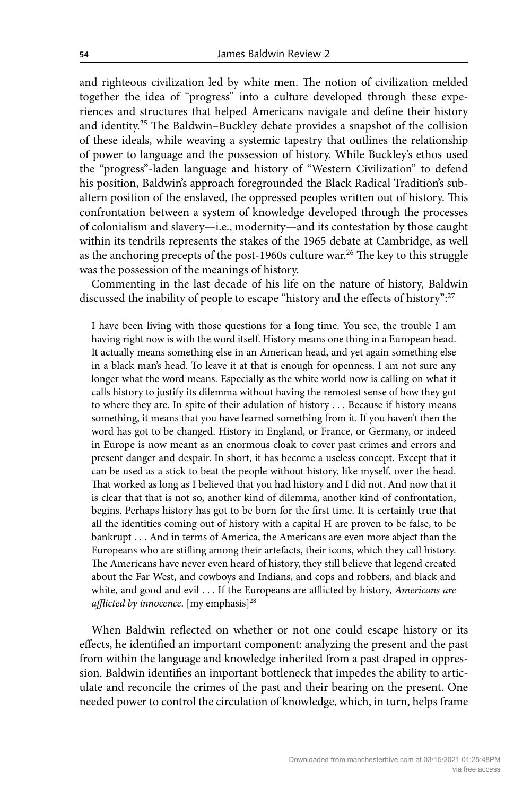and righteous civilization led by white men. The notion of civilization melded together the idea of "progress" into a culture developed through these experiences and structures that helped Americans navigate and define their history and identity.25 The Baldwin–Buckley debate provides a snapshot of the collision of these ideals, while weaving a systemic tapestry that outlines the relationship of power to language and the possession of history. While Buckley's ethos used the "progress"-laden language and history of "Western Civilization" to defend his position, Baldwin's approach foregrounded the Black Radical Tradition's subaltern position of the enslaved, the oppressed peoples written out of history. This confrontation between a system of knowledge developed through the processes of colonialism and slavery—i.e., modernity—and its contestation by those caught within its tendrils represents the stakes of the 1965 debate at Cambridge, as well as the anchoring precepts of the post-1960s culture war.<sup>26</sup> The key to this struggle was the possession of the meanings of history.

Commenting in the last decade of his life on the nature of history, Baldwin discussed the inability of people to escape "history and the effects of history":27

I have been living with those questions for a long time. You see, the trouble I am having right now is with the word itself. History means one thing in a European head. It actually means something else in an American head, and yet again something else in a black man's head. To leave it at that is enough for openness. I am not sure any longer what the word means. Especially as the white world now is calling on what it calls history to justify its dilemma without having the remotest sense of how they got to where they are. In spite of their adulation of history . . . Because if history means something, it means that you have learned something from it. If you haven't then the word has got to be changed. History in England, or France, or Germany, or indeed in Europe is now meant as an enormous cloak to cover past crimes and errors and present danger and despair. In short, it has become a useless concept. Except that it can be used as a stick to beat the people without history, like myself, over the head. That worked as long as I believed that you had history and I did not. And now that it is clear that that is not so, another kind of dilemma, another kind of confrontation, begins. Perhaps history has got to be born for the first time. It is certainly true that all the identities coming out of history with a capital H are proven to be false, to be bankrupt . . . And in terms of America, the Americans are even more abject than the Europeans who are stifling among their artefacts, their icons, which they call history. The Americans have never even heard of history, they still believe that legend created about the Far West, and cowboys and Indians, and cops and robbers, and black and white, and good and evil . . . If the Europeans are afflicted by history, *Americans are afflicted by innocence*. [my emphasis]28

When Baldwin reflected on whether or not one could escape history or its effects, he identified an important component: analyzing the present and the past from within the language and knowledge inherited from a past draped in oppression. Baldwin identifies an important bottleneck that impedes the ability to articulate and reconcile the crimes of the past and their bearing on the present. One needed power to control the circulation of knowledge, which, in turn, helps frame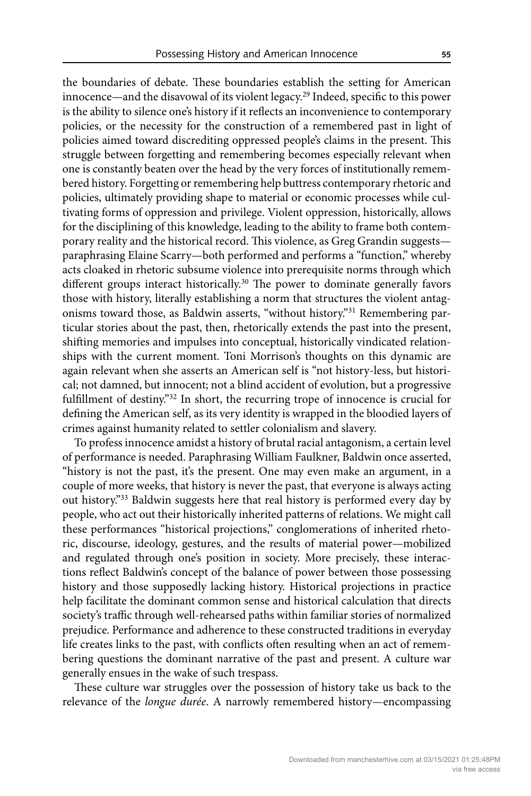the boundaries of debate. These boundaries establish the setting for American innocence—and the disavowal of its violent legacy.29 Indeed, specific to this power is the ability to silence one's history if it reflects an inconvenience to contemporary policies, or the necessity for the construction of a remembered past in light of policies aimed toward discrediting oppressed people's claims in the present. This struggle between forgetting and remembering becomes especially relevant when one is constantly beaten over the head by the very forces of institutionally remembered history. Forgetting or remembering help buttress contemporary rhetoric and policies, ultimately providing shape to material or economic processes while cultivating forms of oppression and privilege. Violent oppression, historically, allows for the disciplining of this knowledge, leading to the ability to frame both contemporary reality and the historical record. This violence, as Greg Grandin suggests paraphrasing Elaine Scarry—both performed and performs a "function," whereby acts cloaked in rhetoric subsume violence into prerequisite norms through which different groups interact historically.<sup>30</sup> The power to dominate generally favors those with history, literally establishing a norm that structures the violent antagonisms toward those, as Baldwin asserts, "without history."31 Remembering particular stories about the past, then, rhetorically extends the past into the present, shifting memories and impulses into conceptual, historically vindicated relationships with the current moment. Toni Morrison's thoughts on this dynamic are again relevant when she asserts an American self is "not history-less, but historical; not damned, but innocent; not a blind accident of evolution, but a progressive fulfillment of destiny."32 In short, the recurring trope of innocence is crucial for defining the American self, as its very identity is wrapped in the bloodied layers of crimes against humanity related to settler colonialism and slavery.

To profess innocence amidst a history of brutal racial antagonism, a certain level of performance is needed. Paraphrasing William Faulkner, Baldwin once asserted, "history is not the past, it's the present. One may even make an argument, in a couple of more weeks, that history is never the past, that everyone is always acting out history."33 Baldwin suggests here that real history is performed every day by people, who act out their historically inherited patterns of relations. We might call these performances "historical projections," conglomerations of inherited rhetoric, discourse, ideology, gestures, and the results of material power—mobilized and regulated through one's position in society. More precisely, these interactions reflect Baldwin's concept of the balance of power between those possessing history and those supposedly lacking history. Historical projections in practice help facilitate the dominant common sense and historical calculation that directs society's traffic through well-rehearsed paths within familiar stories of normalized prejudice. Performance and adherence to these constructed traditions in everyday life creates links to the past, with conflicts often resulting when an act of remembering questions the dominant narrative of the past and present. A culture war generally ensues in the wake of such trespass.

These culture war struggles over the possession of history take us back to the relevance of the *longue durée*. A narrowly remembered history—encompassing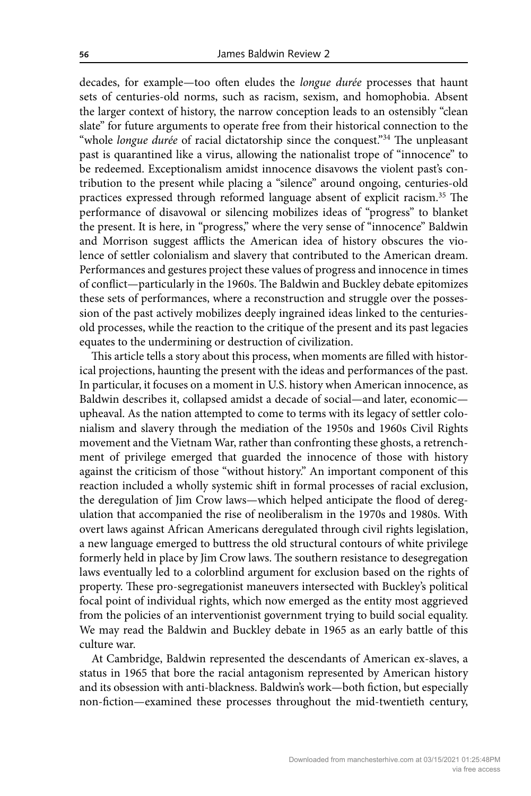decades, for example—too often eludes the *longue durée* processes that haunt sets of centuries-old norms, such as racism, sexism, and homophobia. Absent the larger context of history, the narrow conception leads to an ostensibly "clean slate" for future arguments to operate free from their historical connection to the "whole *longue durée* of racial dictatorship since the conquest."34 The unpleasant past is quarantined like a virus, allowing the nationalist trope of "innocence" to be redeemed. Exceptionalism amidst innocence disavows the violent past's contribution to the present while placing a "silence" around ongoing, centuries-old practices expressed through reformed language absent of explicit racism.35 The performance of disavowal or silencing mobilizes ideas of "progress" to blanket the present. It is here, in "progress," where the very sense of "innocence" Baldwin and Morrison suggest afflicts the American idea of history obscures the violence of settler colonialism and slavery that contributed to the American dream. Performances and gestures project these values of progress and innocence in times of conflict—particularly in the 1960s. The Baldwin and Buckley debate epitomizes these sets of performances, where a reconstruction and struggle over the possession of the past actively mobilizes deeply ingrained ideas linked to the centuriesold processes, while the reaction to the critique of the present and its past legacies equates to the undermining or destruction of civilization.

This article tells a story about this process, when moments are filled with historical projections, haunting the present with the ideas and performances of the past. In particular, it focuses on a moment in U.S. history when American innocence, as Baldwin describes it, collapsed amidst a decade of social—and later, economic upheaval. As the nation attempted to come to terms with its legacy of settler colonialism and slavery through the mediation of the 1950s and 1960s Civil Rights movement and the Vietnam War, rather than confronting these ghosts, a retrenchment of privilege emerged that guarded the innocence of those with history against the criticism of those "without history." An important component of this reaction included a wholly systemic shift in formal processes of racial exclusion, the deregulation of Jim Crow laws—which helped anticipate the flood of deregulation that accompanied the rise of neoliberalism in the 1970s and 1980s. With overt laws against African Americans deregulated through civil rights legislation, a new language emerged to buttress the old structural contours of white privilege formerly held in place by Jim Crow laws. The southern resistance to desegregation laws eventually led to a colorblind argument for exclusion based on the rights of property. These pro-segregationist maneuvers intersected with Buckley's political focal point of individual rights, which now emerged as the entity most aggrieved from the policies of an interventionist government trying to build social equality. We may read the Baldwin and Buckley debate in 1965 as an early battle of this culture war.

At Cambridge, Baldwin represented the descendants of American ex-slaves, a status in 1965 that bore the racial antagonism represented by American history and its obsession with anti-blackness. Baldwin's work—both fiction, but especially non-fiction—examined these processes throughout the mid-twentieth century,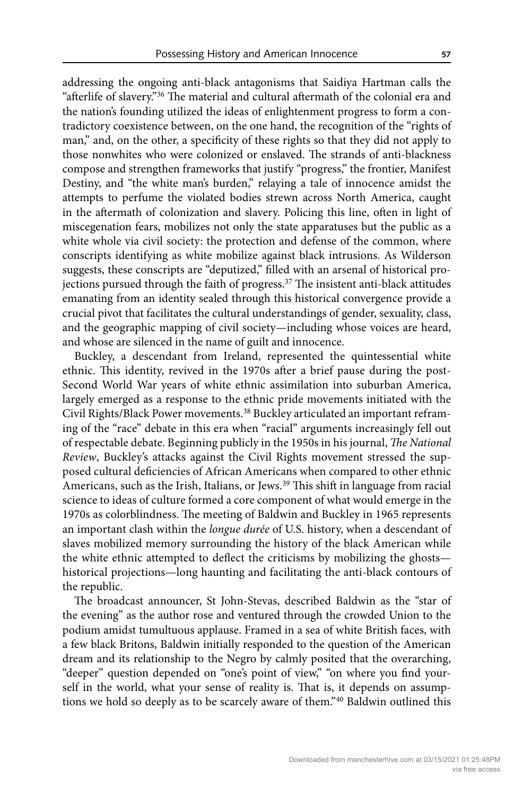addressing the ongoing anti-black antagonisms that Saidiya Hartman calls the "afterlife of slavery."36 The material and cultural aftermath of the colonial era and the nation's founding utilized the ideas of enlightenment progress to form a contradictory coexistence between, on the one hand, the recognition of the "rights of man," and, on the other, a specificity of these rights so that they did not apply to those nonwhites who were colonized or enslaved. The strands of anti-blackness compose and strengthen frameworks that justify "progress," the frontier, Manifest Destiny, and "the white man's burden," relaying a tale of innocence amidst the attempts to perfume the violated bodies strewn across North America, caught in the aftermath of colonization and slavery. Policing this line, often in light of miscegenation fears, mobilizes not only the state apparatuses but the public as a white whole via civil society: the protection and defense of the common, where conscripts identifying as white mobilize against black intrusions. As Wilderson suggests, these conscripts are "deputized," filled with an arsenal of historical projections pursued through the faith of progress. $37$  The insistent anti-black attitudes emanating from an identity sealed through this historical convergence provide a crucial pivot that facilitates the cultural understandings of gender, sexuality, class, and the geographic mapping of civil society—including whose voices are heard, and whose are silenced in the name of guilt and innocence.

Buckley, a descendant from Ireland, represented the quintessential white ethnic. This identity, revived in the 1970s after a brief pause during the post-Second World War years of white ethnic assimilation into suburban America, largely emerged as a response to the ethnic pride movements initiated with the Civil Rights/Black Power movements.38 Buckley articulated an important reframing of the "race" debate in this era when "racial" arguments increasingly fell out of respectable debate. Beginning publicly in the 1950s in his journal, *The National Review*, Buckley's attacks against the Civil Rights movement stressed the supposed cultural deficiencies of African Americans when compared to other ethnic Americans, such as the Irish, Italians, or Jews.<sup>39</sup> This shift in language from racial science to ideas of culture formed a core component of what would emerge in the 1970s as colorblindness. The meeting of Baldwin and Buckley in 1965 represents an important clash within the *longue durée* of U.S. history, when a descendant of slaves mobilized memory surrounding the history of the black American while the white ethnic attempted to deflect the criticisms by mobilizing the ghosts historical projections—long haunting and facilitating the anti-black contours of the republic.

The broadcast announcer, St John-Stevas, described Baldwin as the "star of the evening" as the author rose and ventured through the crowded Union to the podium amidst tumultuous applause. Framed in a sea of white British faces, with a few black Britons, Baldwin initially responded to the question of the American dream and its relationship to the Negro by calmly posited that the overarching, "deeper" question depended on "one's point of view," "on where you find yourself in the world, what your sense of reality is. That is, it depends on assumptions we hold so deeply as to be scarcely aware of them."40 Baldwin outlined this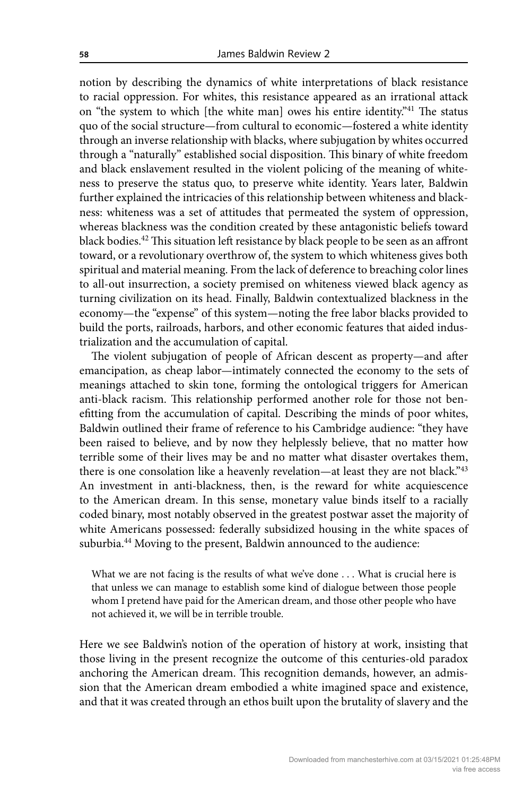notion by describing the dynamics of white interpretations of black resistance to racial oppression. For whites, this resistance appeared as an irrational attack on "the system to which [the white man] owes his entire identity."<sup>41</sup> The status quo of the social structure—from cultural to economic—fostered a white identity through an inverse relationship with blacks, where subjugation by whites occurred through a "naturally" established social disposition. This binary of white freedom and black enslavement resulted in the violent policing of the meaning of whiteness to preserve the status quo, to preserve white identity. Years later, Baldwin further explained the intricacies of this relationship between whiteness and blackness: whiteness was a set of attitudes that permeated the system of oppression, whereas blackness was the condition created by these antagonistic beliefs toward black bodies.42 This situation left resistance by black people to be seen as an affront toward, or a revolutionary overthrow of, the system to which whiteness gives both spiritual and material meaning. From the lack of deference to breaching color lines to all-out insurrection, a society premised on whiteness viewed black agency as turning civilization on its head. Finally, Baldwin contextualized blackness in the economy—the "expense" of this system—noting the free labor blacks provided to build the ports, railroads, harbors, and other economic features that aided industrialization and the accumulation of capital.

The violent subjugation of people of African descent as property—and after emancipation, as cheap labor—intimately connected the economy to the sets of meanings attached to skin tone, forming the ontological triggers for American anti-black racism. This relationship performed another role for those not benefitting from the accumulation of capital. Describing the minds of poor whites, Baldwin outlined their frame of reference to his Cambridge audience: "they have been raised to believe, and by now they helplessly believe, that no matter how terrible some of their lives may be and no matter what disaster overtakes them, there is one consolation like a heavenly revelation—at least they are not black."43 An investment in anti-blackness, then, is the reward for white acquiescence to the American dream. In this sense, monetary value binds itself to a racially coded binary, most notably observed in the greatest postwar asset the majority of white Americans possessed: federally subsidized housing in the white spaces of suburbia.<sup>44</sup> Moving to the present, Baldwin announced to the audience:

What we are not facing is the results of what we've done . . . What is crucial here is that unless we can manage to establish some kind of dialogue between those people whom I pretend have paid for the American dream, and those other people who have not achieved it, we will be in terrible trouble.

Here we see Baldwin's notion of the operation of history at work, insisting that those living in the present recognize the outcome of this centuries-old paradox anchoring the American dream. This recognition demands, however, an admission that the American dream embodied a white imagined space and existence, and that it was created through an ethos built upon the brutality of slavery and the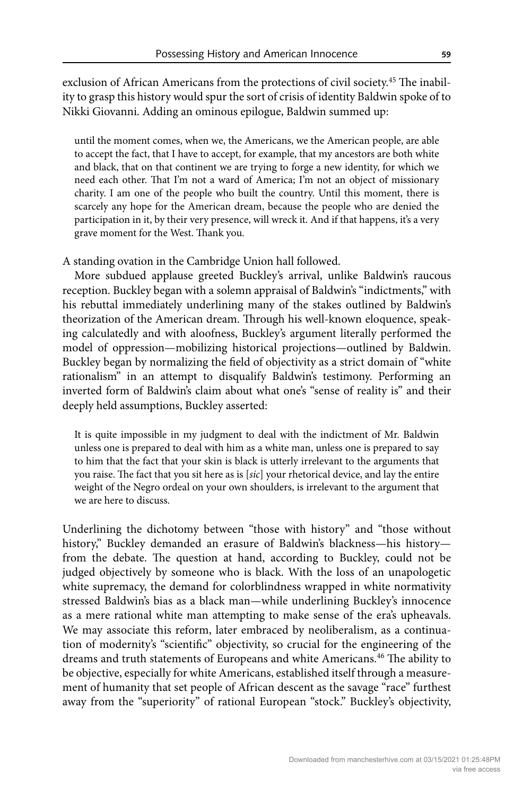exclusion of African Americans from the protections of civil society.<sup>45</sup> The inability to grasp this history would spur the sort of crisis of identity Baldwin spoke of to Nikki Giovanni. Adding an ominous epilogue, Baldwin summed up:

until the moment comes, when we, the Americans, we the American people, are able to accept the fact, that I have to accept, for example, that my ancestors are both white and black, that on that continent we are trying to forge a new identity, for which we need each other. That I'm not a ward of America; I'm not an object of missionary charity. I am one of the people who built the country. Until this moment, there is scarcely any hope for the American dream, because the people who are denied the participation in it, by their very presence, will wreck it. And if that happens, it's a very grave moment for the West. Thank you.

A standing ovation in the Cambridge Union hall followed.

More subdued applause greeted Buckley's arrival, unlike Baldwin's raucous reception. Buckley began with a solemn appraisal of Baldwin's "indictments," with his rebuttal immediately underlining many of the stakes outlined by Baldwin's theorization of the American dream. Through his well-known eloquence, speaking calculatedly and with aloofness, Buckley's argument literally performed the model of oppression—mobilizing historical projections—outlined by Baldwin. Buckley began by normalizing the field of objectivity as a strict domain of "white rationalism" in an attempt to disqualify Baldwin's testimony. Performing an inverted form of Baldwin's claim about what one's "sense of reality is" and their deeply held assumptions, Buckley asserted:

It is quite impossible in my judgment to deal with the indictment of Mr. Baldwin unless one is prepared to deal with him as a white man, unless one is prepared to say to him that the fact that your skin is black is utterly irrelevant to the arguments that you raise. The fact that you sit here as is [*sic*] your rhetorical device, and lay the entire weight of the Negro ordeal on your own shoulders, is irrelevant to the argument that we are here to discuss.

Underlining the dichotomy between "those with history" and "those without history," Buckley demanded an erasure of Baldwin's blackness—his history from the debate. The question at hand, according to Buckley, could not be judged objectively by someone who is black. With the loss of an unapologetic white supremacy, the demand for colorblindness wrapped in white normativity stressed Baldwin's bias as a black man—while underlining Buckley's innocence as a mere rational white man attempting to make sense of the era's upheavals. We may associate this reform, later embraced by neoliberalism, as a continuation of modernity's "scientific" objectivity, so crucial for the engineering of the dreams and truth statements of Europeans and white Americans.<sup>46</sup> The ability to be objective, especially for white Americans, established itself through a measurement of humanity that set people of African descent as the savage "race" furthest away from the "superiority" of rational European "stock." Buckley's objectivity,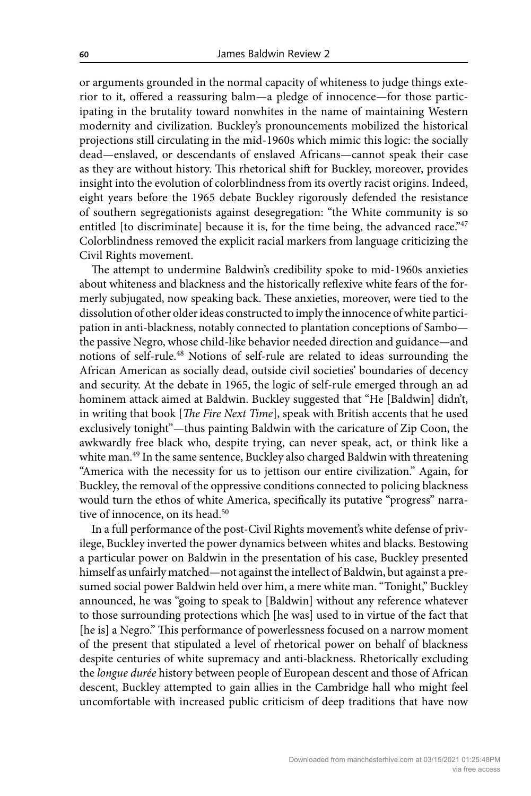or arguments grounded in the normal capacity of whiteness to judge things exterior to it, offered a reassuring balm—a pledge of innocence—for those participating in the brutality toward nonwhites in the name of maintaining Western modernity and civilization. Buckley's pronouncements mobilized the historical projections still circulating in the mid-1960s which mimic this logic: the socially dead—enslaved, or descendants of enslaved Africans—cannot speak their case as they are without history. This rhetorical shift for Buckley, moreover, provides insight into the evolution of colorblindness from its overtly racist origins. Indeed, eight years before the 1965 debate Buckley rigorously defended the resistance of southern segregationists against desegregation: "the White community is so entitled [to discriminate] because it is, for the time being, the advanced race."47 Colorblindness removed the explicit racial markers from language criticizing the Civil Rights movement.

The attempt to undermine Baldwin's credibility spoke to mid-1960s anxieties about whiteness and blackness and the historically reflexive white fears of the formerly subjugated, now speaking back. These anxieties, moreover, were tied to the dissolution of other older ideas constructed to imply the innocence of white participation in anti-blackness, notably connected to plantation conceptions of Sambo the passive Negro, whose child-like behavior needed direction and guidance—and notions of self-rule.48 Notions of self-rule are related to ideas surrounding the African American as socially dead, outside civil societies' boundaries of decency and security. At the debate in 1965, the logic of self-rule emerged through an ad hominem attack aimed at Baldwin. Buckley suggested that "He [Baldwin] didn't, in writing that book [*The Fire Next Time*], speak with British accents that he used exclusively tonight"—thus painting Baldwin with the caricature of Zip Coon, the awkwardly free black who, despite trying, can never speak, act, or think like a white man.<sup>49</sup> In the same sentence, Buckley also charged Baldwin with threatening "America with the necessity for us to jettison our entire civilization." Again, for Buckley, the removal of the oppressive conditions connected to policing blackness would turn the ethos of white America, specifically its putative "progress" narrative of innocence, on its head.<sup>50</sup>

In a full performance of the post-Civil Rights movement's white defense of privilege, Buckley inverted the power dynamics between whites and blacks. Bestowing a particular power on Baldwin in the presentation of his case, Buckley presented himself as unfairly matched—not against the intellect of Baldwin, but against a presumed social power Baldwin held over him, a mere white man. "Tonight," Buckley announced, he was "going to speak to [Baldwin] without any reference whatever to those surrounding protections which [he was] used to in virtue of the fact that [he is] a Negro." This performance of powerlessness focused on a narrow moment of the present that stipulated a level of rhetorical power on behalf of blackness despite centuries of white supremacy and anti-blackness. Rhetorically excluding the *longue durée* history between people of European descent and those of African descent, Buckley attempted to gain allies in the Cambridge hall who might feel uncomfortable with increased public criticism of deep traditions that have now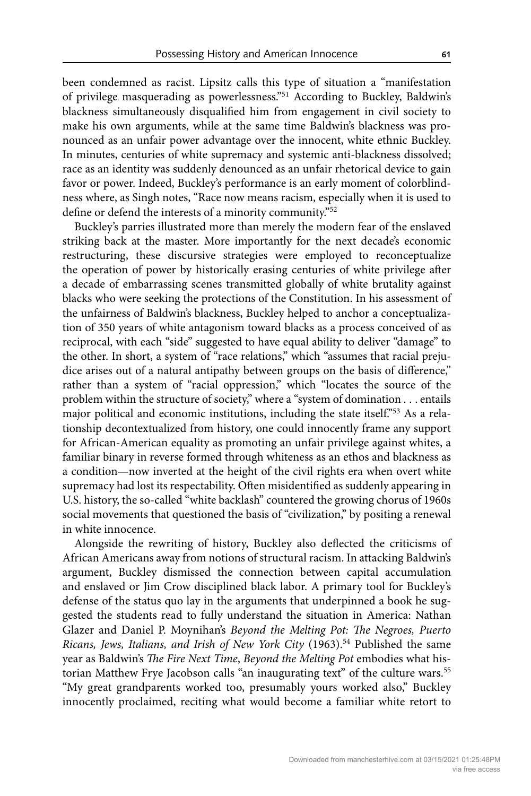been condemned as racist. Lipsitz calls this type of situation a "manifestation of privilege masquerading as powerlessness."51 According to Buckley, Baldwin's blackness simultaneously disqualified him from engagement in civil society to make his own arguments, while at the same time Baldwin's blackness was pronounced as an unfair power advantage over the innocent, white ethnic Buckley. In minutes, centuries of white supremacy and systemic anti-blackness dissolved; race as an identity was suddenly denounced as an unfair rhetorical device to gain favor or power. Indeed, Buckley's performance is an early moment of colorblindness where, as Singh notes, "Race now means racism, especially when it is used to define or defend the interests of a minority community."52

Buckley's parries illustrated more than merely the modern fear of the enslaved striking back at the master. More importantly for the next decade's economic restructuring, these discursive strategies were employed to reconceptualize the operation of power by historically erasing centuries of white privilege after a decade of embarrassing scenes transmitted globally of white brutality against blacks who were seeking the protections of the Constitution. In his assessment of the unfairness of Baldwin's blackness, Buckley helped to anchor a conceptualization of 350 years of white antagonism toward blacks as a process conceived of as reciprocal, with each "side" suggested to have equal ability to deliver "damage" to the other. In short, a system of "race relations," which "assumes that racial prejudice arises out of a natural antipathy between groups on the basis of difference," rather than a system of "racial oppression," which "locates the source of the problem within the structure of society," where a "system of domination . . . entails major political and economic institutions, including the state itself."53 As a relationship decontextualized from history, one could innocently frame any support for African-American equality as promoting an unfair privilege against whites, a familiar binary in reverse formed through whiteness as an ethos and blackness as a condition—now inverted at the height of the civil rights era when overt white supremacy had lost its respectability. Often misidentified as suddenly appearing in U.S. history, the so-called "white backlash" countered the growing chorus of 1960s social movements that questioned the basis of "civilization," by positing a renewal in white innocence.

Alongside the rewriting of history, Buckley also deflected the criticisms of African Americans away from notions of structural racism. In attacking Baldwin's argument, Buckley dismissed the connection between capital accumulation and enslaved or Jim Crow disciplined black labor. A primary tool for Buckley's defense of the status quo lay in the arguments that underpinned a book he suggested the students read to fully understand the situation in America: Nathan Glazer and Daniel P. Moynihan's *Beyond the Melting Pot: The Negroes, Puerto Ricans, Jews, Italians, and Irish of New York City* (1963).54 Published the same year as Baldwin's *The Fire Next Time*, *Beyond the Melting Pot* embodies what historian Matthew Frye Jacobson calls "an inaugurating text" of the culture wars.<sup>55</sup> "My great grandparents worked too, presumably yours worked also," Buckley innocently proclaimed, reciting what would become a familiar white retort to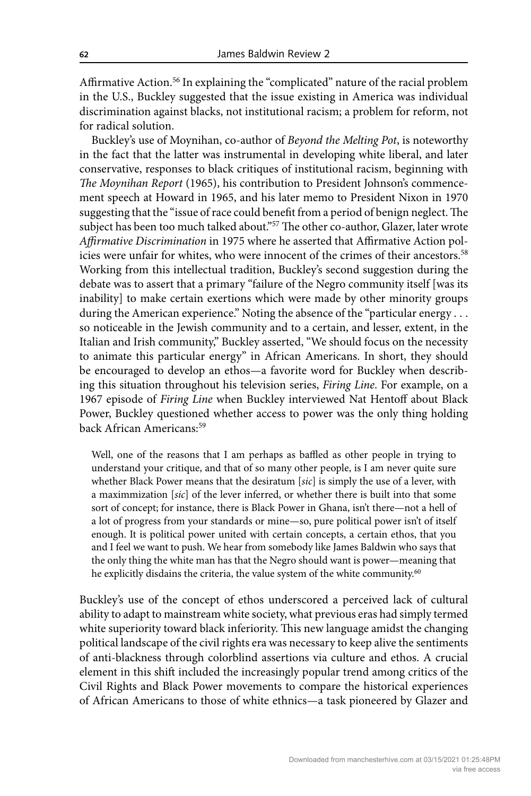Affirmative Action.<sup>56</sup> In explaining the "complicated" nature of the racial problem in the U.S., Buckley suggested that the issue existing in America was individual discrimination against blacks, not institutional racism; a problem for reform, not for radical solution.

Buckley's use of Moynihan, co-author of *Beyond the Melting Pot*, is noteworthy in the fact that the latter was instrumental in developing white liberal, and later conservative, responses to black critiques of institutional racism, beginning with *The Moynihan Report* (1965), his contribution to President Johnson's commencement speech at Howard in 1965, and his later memo to President Nixon in 1970 suggesting that the "issue of race could benefit from a period of benign neglect. The subject has been too much talked about."57 The other co-author, Glazer, later wrote *Affirmative Discrimination* in 1975 where he asserted that Affirmative Action policies were unfair for whites, who were innocent of the crimes of their ancestors.58 Working from this intellectual tradition, Buckley's second suggestion during the debate was to assert that a primary "failure of the Negro community itself [was its inability] to make certain exertions which were made by other minority groups during the American experience." Noting the absence of the "particular energy . . . so noticeable in the Jewish community and to a certain, and lesser, extent, in the Italian and Irish community," Buckley asserted, "We should focus on the necessity to animate this particular energy" in African Americans. In short, they should be encouraged to develop an ethos—a favorite word for Buckley when describing this situation throughout his television series, *Firing Line*. For example, on a 1967 episode of *Firing Line* when Buckley interviewed Nat Hentoff about Black Power, Buckley questioned whether access to power was the only thing holding back African Americans:59

Well, one of the reasons that I am perhaps as baffled as other people in trying to understand your critique, and that of so many other people, is I am never quite sure whether Black Power means that the desiratum [*sic*] is simply the use of a lever, with a maximmization [*sic*] of the lever inferred, or whether there is built into that some sort of concept; for instance, there is Black Power in Ghana, isn't there—not a hell of a lot of progress from your standards or mine—so, pure political power isn't of itself enough. It is political power united with certain concepts, a certain ethos, that you and I feel we want to push. We hear from somebody like James Baldwin who says that the only thing the white man has that the Negro should want is power—meaning that he explicitly disdains the criteria, the value system of the white community.<sup>60</sup>

Buckley's use of the concept of ethos underscored a perceived lack of cultural ability to adapt to mainstream white society, what previous eras had simply termed white superiority toward black inferiority. This new language amidst the changing political landscape of the civil rights era was necessary to keep alive the sentiments of anti-blackness through colorblind assertions via culture and ethos. A crucial element in this shift included the increasingly popular trend among critics of the Civil Rights and Black Power movements to compare the historical experiences of African Americans to those of white ethnics—a task pioneered by Glazer and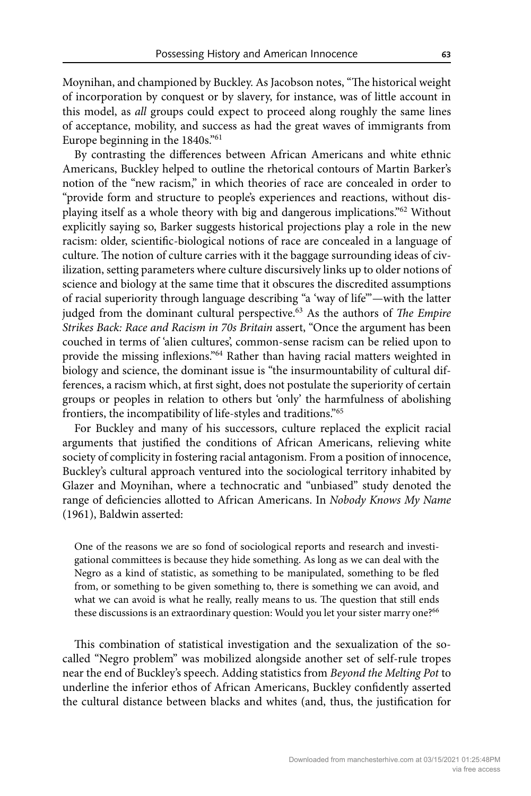Moynihan, and championed by Buckley. As Jacobson notes, "The historical weight of incorporation by conquest or by slavery, for instance, was of little account in this model, as *all* groups could expect to proceed along roughly the same lines of acceptance, mobility, and success as had the great waves of immigrants from Europe beginning in the 1840s."61

By contrasting the differences between African Americans and white ethnic Americans, Buckley helped to outline the rhetorical contours of Martin Barker's notion of the "new racism," in which theories of race are concealed in order to "provide form and structure to people's experiences and reactions, without displaying itself as a whole theory with big and dangerous implications."62 Without explicitly saying so, Barker suggests historical projections play a role in the new racism: older, scientific-biological notions of race are concealed in a language of culture. The notion of culture carries with it the baggage surrounding ideas of civilization, setting parameters where culture discursively links up to older notions of science and biology at the same time that it obscures the discredited assumptions of racial superiority through language describing "a 'way of life'"—with the latter judged from the dominant cultural perspective.63 As the authors of *The Empire Strikes Back: Race and Racism in 70s Britain* assert, "Once the argument has been couched in terms of 'alien cultures', common-sense racism can be relied upon to provide the missing inflexions."64 Rather than having racial matters weighted in biology and science, the dominant issue is "the insurmountability of cultural differences, a racism which, at first sight, does not postulate the superiority of certain groups or peoples in relation to others but 'only' the harmfulness of abolishing frontiers, the incompatibility of life-styles and traditions."65

For Buckley and many of his successors, culture replaced the explicit racial arguments that justified the conditions of African Americans, relieving white society of complicity in fostering racial antagonism. From a position of innocence, Buckley's cultural approach ventured into the sociological territory inhabited by Glazer and Moynihan, where a technocratic and "unbiased" study denoted the range of deficiencies allotted to African Americans. In *Nobody Knows My Name* (1961), Baldwin asserted:

One of the reasons we are so fond of sociological reports and research and investigational committees is because they hide something. As long as we can deal with the Negro as a kind of statistic, as something to be manipulated, something to be fled from, or something to be given something to, there is something we can avoid, and what we can avoid is what he really, really means to us. The question that still ends these discussions is an extraordinary question: Would you let your sister marry one?<sup>66</sup>

This combination of statistical investigation and the sexualization of the socalled "Negro problem" was mobilized alongside another set of self-rule tropes near the end of Buckley's speech. Adding statistics from *Beyond the Melting Pot* to underline the inferior ethos of African Americans, Buckley confidently asserted the cultural distance between blacks and whites (and, thus, the justification for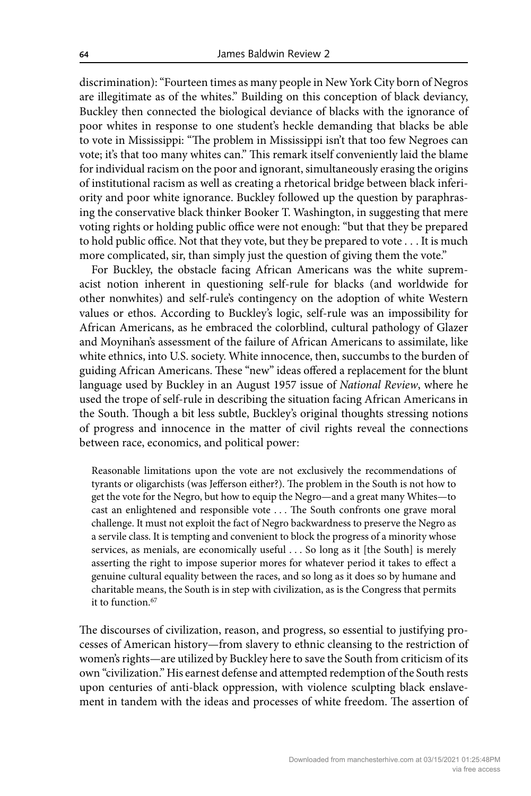discrimination): "Fourteen times as many people in New York City born of Negros are illegitimate as of the whites." Building on this conception of black deviancy, Buckley then connected the biological deviance of blacks with the ignorance of poor whites in response to one student's heckle demanding that blacks be able to vote in Mississippi: "The problem in Mississippi isn't that too few Negroes can vote; it's that too many whites can." This remark itself conveniently laid the blame for individual racism on the poor and ignorant, simultaneously erasing the origins of institutional racism as well as creating a rhetorical bridge between black inferiority and poor white ignorance. Buckley followed up the question by paraphrasing the conservative black thinker Booker T. Washington, in suggesting that mere voting rights or holding public office were not enough: "but that they be prepared to hold public office. Not that they vote, but they be prepared to vote . . . It is much more complicated, sir, than simply just the question of giving them the vote."

For Buckley, the obstacle facing African Americans was the white supremacist notion inherent in questioning self-rule for blacks (and worldwide for other nonwhites) and self-rule's contingency on the adoption of white Western values or ethos. According to Buckley's logic, self-rule was an impossibility for African Americans, as he embraced the colorblind, cultural pathology of Glazer and Moynihan's assessment of the failure of African Americans to assimilate, like white ethnics, into U.S. society. White innocence, then, succumbs to the burden of guiding African Americans. These "new" ideas offered a replacement for the blunt language used by Buckley in an August 1957 issue of *National Review*, where he used the trope of self-rule in describing the situation facing African Americans in the South. Though a bit less subtle, Buckley's original thoughts stressing notions of progress and innocence in the matter of civil rights reveal the connections between race, economics, and political power:

Reasonable limitations upon the vote are not exclusively the recommendations of tyrants or oligarchists (was Jefferson either?). The problem in the South is not how to get the vote for the Negro, but how to equip the Negro—and a great many Whites—to cast an enlightened and responsible vote . . . The South confronts one grave moral challenge. It must not exploit the fact of Negro backwardness to preserve the Negro as a servile class. It is tempting and convenient to block the progress of a minority whose services, as menials, are economically useful . . . So long as it [the South] is merely asserting the right to impose superior mores for whatever period it takes to effect a genuine cultural equality between the races, and so long as it does so by humane and charitable means, the South is in step with civilization, as is the Congress that permits it to function.67

The discourses of civilization, reason, and progress, so essential to justifying processes of American history—from slavery to ethnic cleansing to the restriction of women's rights—are utilized by Buckley here to save the South from criticism of its own "civilization." His earnest defense and attempted redemption of the South rests upon centuries of anti-black oppression, with violence sculpting black enslavement in tandem with the ideas and processes of white freedom. The assertion of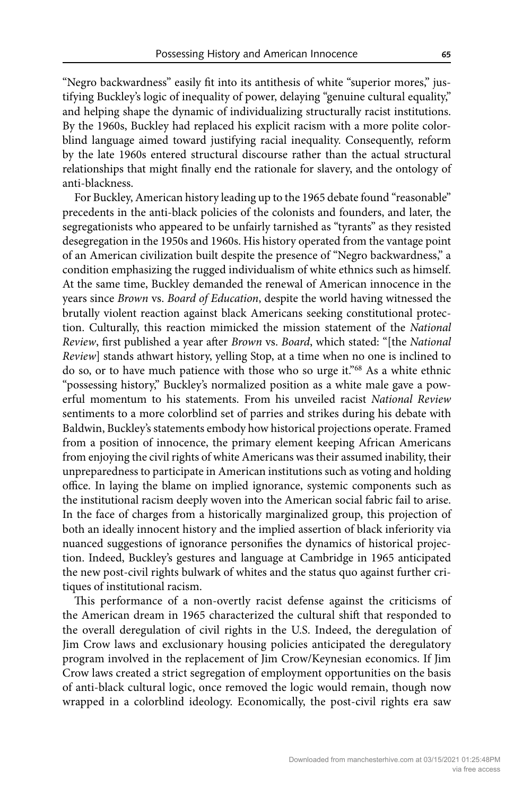"Negro backwardness" easily fit into its antithesis of white "superior mores," justifying Buckley's logic of inequality of power, delaying "genuine cultural equality," and helping shape the dynamic of individualizing structurally racist institutions. By the 1960s, Buckley had replaced his explicit racism with a more polite colorblind language aimed toward justifying racial inequality. Consequently, reform by the late 1960s entered structural discourse rather than the actual structural relationships that might finally end the rationale for slavery, and the ontology of anti-blackness.

For Buckley, American history leading up to the 1965 debate found "reasonable" precedents in the anti-black policies of the colonists and founders, and later, the segregationists who appeared to be unfairly tarnished as "tyrants" as they resisted desegregation in the 1950s and 1960s. His history operated from the vantage point of an American civilization built despite the presence of "Negro backwardness," a condition emphasizing the rugged individualism of white ethnics such as himself. At the same time, Buckley demanded the renewal of American innocence in the years since *Brown* vs. *Board of Education*, despite the world having witnessed the brutally violent reaction against black Americans seeking constitutional protection. Culturally, this reaction mimicked the mission statement of the *National Review*, first published a year after *Brown* vs. *Board*, which stated: "[the *National Review*] stands athwart history, yelling Stop, at a time when no one is inclined to do so, or to have much patience with those who so urge it."68 As a white ethnic "possessing history," Buckley's normalized position as a white male gave a powerful momentum to his statements. From his unveiled racist *National Review* sentiments to a more colorblind set of parries and strikes during his debate with Baldwin, Buckley's statements embody how historical projections operate. Framed from a position of innocence, the primary element keeping African Americans from enjoying the civil rights of white Americans was their assumed inability, their unpreparedness to participate in American institutions such as voting and holding office. In laying the blame on implied ignorance, systemic components such as the institutional racism deeply woven into the American social fabric fail to arise. In the face of charges from a historically marginalized group, this projection of both an ideally innocent history and the implied assertion of black inferiority via nuanced suggestions of ignorance personifies the dynamics of historical projection. Indeed, Buckley's gestures and language at Cambridge in 1965 anticipated the new post-civil rights bulwark of whites and the status quo against further critiques of institutional racism.

This performance of a non-overtly racist defense against the criticisms of the American dream in 1965 characterized the cultural shift that responded to the overall deregulation of civil rights in the U.S. Indeed, the deregulation of Jim Crow laws and exclusionary housing policies anticipated the deregulatory program involved in the replacement of Jim Crow/Keynesian economics. If Jim Crow laws created a strict segregation of employment opportunities on the basis of anti-black cultural logic, once removed the logic would remain, though now wrapped in a colorblind ideology. Economically, the post-civil rights era saw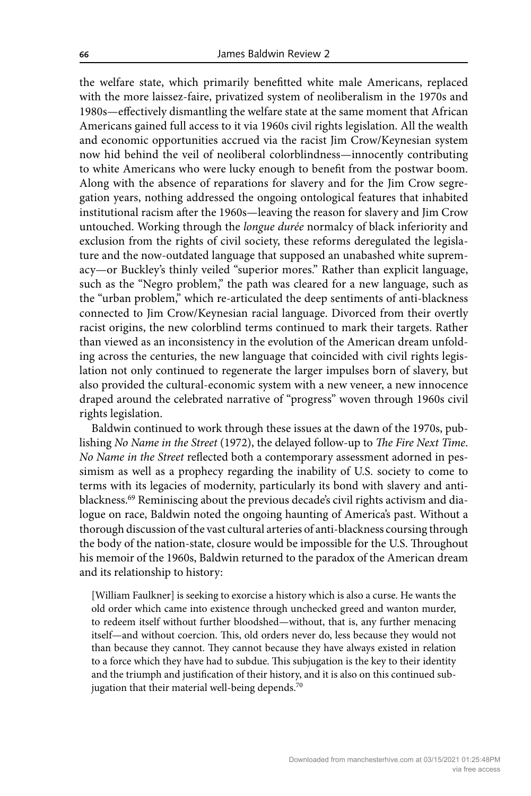the welfare state, which primarily benefitted white male Americans, replaced with the more laissez-faire, privatized system of neoliberalism in the 1970s and 1980s—effectively dismantling the welfare state at the same moment that African Americans gained full access to it via 1960s civil rights legislation. All the wealth and economic opportunities accrued via the racist Jim Crow/Keynesian system now hid behind the veil of neoliberal colorblindness—innocently contributing to white Americans who were lucky enough to benefit from the postwar boom. Along with the absence of reparations for slavery and for the Jim Crow segregation years, nothing addressed the ongoing ontological features that inhabited institutional racism after the 1960s—leaving the reason for slavery and Jim Crow untouched. Working through the *longue durée* normalcy of black inferiority and exclusion from the rights of civil society, these reforms deregulated the legislature and the now-outdated language that supposed an unabashed white supremacy—or Buckley's thinly veiled "superior mores." Rather than explicit language, such as the "Negro problem," the path was cleared for a new language, such as the "urban problem," which re-articulated the deep sentiments of anti-blackness connected to Jim Crow/Keynesian racial language. Divorced from their overtly racist origins, the new colorblind terms continued to mark their targets. Rather than viewed as an inconsistency in the evolution of the American dream unfolding across the centuries, the new language that coincided with civil rights legislation not only continued to regenerate the larger impulses born of slavery, but also provided the cultural-economic system with a new veneer, a new innocence draped around the celebrated narrative of "progress" woven through 1960s civil rights legislation.

Baldwin continued to work through these issues at the dawn of the 1970s, publishing *No Name in the Street* (1972), the delayed follow-up to *The Fire Next Time*. *No Name in the Street* reflected both a contemporary assessment adorned in pessimism as well as a prophecy regarding the inability of U.S. society to come to terms with its legacies of modernity, particularly its bond with slavery and antiblackness.<sup>69</sup> Reminiscing about the previous decade's civil rights activism and dialogue on race, Baldwin noted the ongoing haunting of America's past. Without a thorough discussion of the vast cultural arteries of anti-blackness coursing through the body of the nation-state, closure would be impossible for the U.S. Throughout his memoir of the 1960s, Baldwin returned to the paradox of the American dream and its relationship to history:

[William Faulkner] is seeking to exorcise a history which is also a curse. He wants the old order which came into existence through unchecked greed and wanton murder, to redeem itself without further bloodshed—without, that is, any further menacing itself—and without coercion. This, old orders never do, less because they would not than because they cannot. They cannot because they have always existed in relation to a force which they have had to subdue. This subjugation is the key to their identity and the triumph and justification of their history, and it is also on this continued subjugation that their material well-being depends.<sup>70</sup>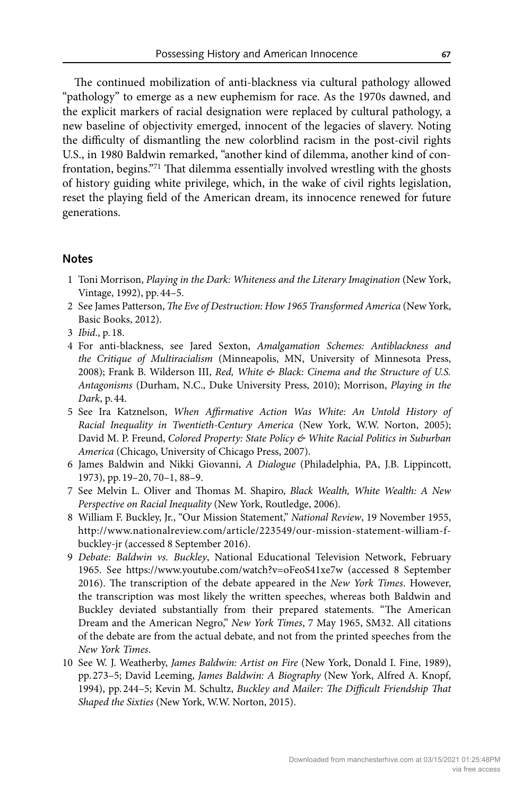The continued mobilization of anti-blackness via cultural pathology allowed "pathology" to emerge as a new euphemism for race. As the 1970s dawned, and the explicit markers of racial designation were replaced by cultural pathology, a new baseline of objectivity emerged, innocent of the legacies of slavery. Noting the difficulty of dismantling the new colorblind racism in the post-civil rights U.S., in 1980 Baldwin remarked, "another kind of dilemma, another kind of confrontation, begins."71 That dilemma essentially involved wrestling with the ghosts of history guiding white privilege, which, in the wake of civil rights legislation, reset the playing field of the American dream, its innocence renewed for future generations.

#### **Notes**

- 1 Toni Morrison, *Playing in the Dark: Whiteness and the Literary Imagination* (New York, Vintage, 1992), pp. 44–5.
- 2 See James Patterson, *The Eve of Destruction: How 1965 Transformed America* (New York, Basic Books, 2012).
- 3 *Ibid*., p. 18.
- 4 For anti-blackness, see Jared Sexton, *Amalgamation Schemes: Antiblackness and the Critique of Multiracialism* (Minneapolis, MN, University of Minnesota Press, 2008); Frank B. Wilderson III, *Red, White & Black: Cinema and the Structure of U.S. Antagonisms* (Durham, N.C., Duke University Press, 2010); Morrison, *Playing in the Dark*, p. 44.
- 5 See Ira Katznelson, *When Affirmative Action Was White: An Untold History of Racial Inequality in Twentieth-Century America* (New York, W.W. Norton, 2005); David M. P. Freund, *Colored Property: State Policy & White Racial Politics in Suburban America* (Chicago, University of Chicago Press, 2007).
- 6 James Baldwin and Nikki Giovanni, *A Dialogue* (Philadelphia, PA, J.B. Lippincott, 1973), pp. 19–20, 70–1, 88–9.
- 7 See Melvin L. Oliver and Thomas M. Shapiro, *Black Wealth, White Wealth: A New Perspective on Racial Inequality* (New York, Routledge, 2006).
- 8 William F. Buckley, Jr., "Our Mission Statement," *National Review*, 19 November 1955, [http://www.nationalreview.com/article/223549/our-mission-statement-william-f](http://www.nationalreview.com/article/223549/our-mission-statement-william-f-buckley-jr)[buckley-jr](http://www.nationalreview.com/article/223549/our-mission-statement-william-f-buckley-jr) (accessed 8 September 2016).
- 9 *Debate: Baldwin vs. Buckley*, National Educational Television Network, February 1965. See [https://www.youtube.com/watch?v=oFeoS41xe7w](https://www.youtube.com/watch%3Fv%3DoFeoS41xe7w) (accessed 8 September 2016). The transcription of the debate appeared in the *New York Times*. However, the transcription was most likely the written speeches, whereas both Baldwin and Buckley deviated substantially from their prepared statements. "The American Dream and the American Negro," *New York Times*, 7 May 1965, SM32. All citations of the debate are from the actual debate, and not from the printed speeches from the *New York Times*.
- 10 See W. J. Weatherby, *James Baldwin: Artist on Fire* (New York, Donald I. Fine, 1989), pp. 273–5; David Leeming, *James Baldwin: A Biography* (New York, Alfred A. Knopf, 1994), pp. 244–5; Kevin M. Schultz, *Buckley and Mailer: The Difficult Friendship That Shaped the Sixties* (New York, W.W. Norton, 2015).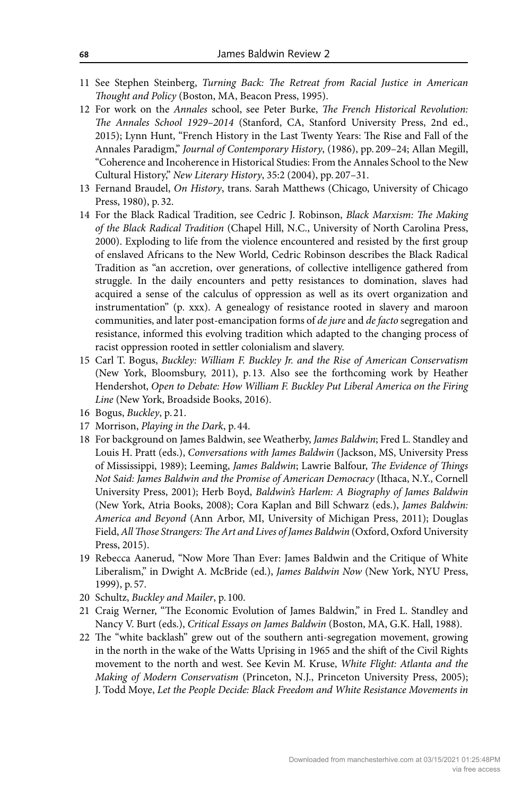- 11 See Stephen Steinberg, *Turning Back: The Retreat from Racial Justice in American Thought and Policy* (Boston, MA, Beacon Press, 1995).
- 12 For work on the *Annales* school, see Peter Burke, *The French Historical Revolution: The Annales School 1929–2014* (Stanford, CA, Stanford University Press, 2nd ed., 2015); Lynn Hunt, "French History in the Last Twenty Years: The Rise and Fall of the Annales Paradigm," *Journal of Contemporary History*, (1986), pp. 209–24; Allan Megill, "Coherence and Incoherence in Historical Studies: From the Annales School to the New Cultural History," *New Literary History*, 35:2 (2004), pp. 207–31.
- 13 Fernand Braudel, *On History*, trans. Sarah Matthews (Chicago, University of Chicago Press, 1980), p. 32.
- 14 For the Black Radical Tradition, see Cedric J. Robinson, *Black Marxism: The Making of the Black Radical Tradition* (Chapel Hill, N.C., University of North Carolina Press, 2000). Exploding to life from the violence encountered and resisted by the first group of enslaved Africans to the New World, Cedric Robinson describes the Black Radical Tradition as "an accretion, over generations, of collective intelligence gathered from struggle. In the daily encounters and petty resistances to domination, slaves had acquired a sense of the calculus of oppression as well as its overt organization and instrumentation" (p. xxx). A genealogy of resistance rooted in slavery and maroon communities, and later post-emancipation forms of *de jure* and *de facto* segregation and resistance, informed this evolving tradition which adapted to the changing process of racist oppression rooted in settler colonialism and slavery.
- 15 Carl T. Bogus, *Buckley: William F. Buckley Jr. and the Rise of American Conservatism* (New York, Bloomsbury, 2011), p. 13. Also see the forthcoming work by Heather Hendershot, *Open to Debate: How William F. Buckley Put Liberal America on the Firing Line* (New York, Broadside Books, 2016).
- 16 Bogus, *Buckley*, p. 21.
- 17 Morrison, *Playing in the Dark*, p. 44.
- 18 For background on James Baldwin, see Weatherby, *James Baldwin*; Fred L. Standley and Louis H. Pratt (eds.), *Conversations with James Baldwin* (Jackson, MS, University Press of Mississippi, 1989); Leeming, *James Baldwin*; Lawrie Balfour, *The Evidence of Things Not Said: James Baldwin and the Promise of American Democracy* (Ithaca, N.Y., Cornell University Press, 2001); Herb Boyd, *Baldwin's Harlem: A Biography of James Baldwin* (New York, Atria Books, 2008); Cora Kaplan and Bill Schwarz (eds.), *James Baldwin: America and Beyond* (Ann Arbor, MI, University of Michigan Press, 2011); Douglas Field, *All Those Strangers: The Art and Lives of James Baldwin* (Oxford, Oxford University Press, 2015).
- 19 Rebecca Aanerud, "Now More Than Ever: James Baldwin and the Critique of White Liberalism," in Dwight A. McBride (ed.), *James Baldwin Now* (New York, NYU Press, 1999), p. 57.
- 20 Schultz, *Buckley and Mailer*, p. 100.
- 21 Craig Werner, "The Economic Evolution of James Baldwin," in Fred L. Standley and Nancy V. Burt (eds.), *Critical Essays on James Baldwin* (Boston, MA, G.K. Hall, 1988).
- 22 The "white backlash" grew out of the southern anti-segregation movement, growing in the north in the wake of the Watts Uprising in 1965 and the shift of the Civil Rights movement to the north and west. See Kevin M. Kruse, *White Flight: Atlanta and the Making of Modern Conservatism* (Princeton, N.J., Princeton University Press, 2005); J. Todd Moye, *Let the People Decide: Black Freedom and White Resistance Movements in*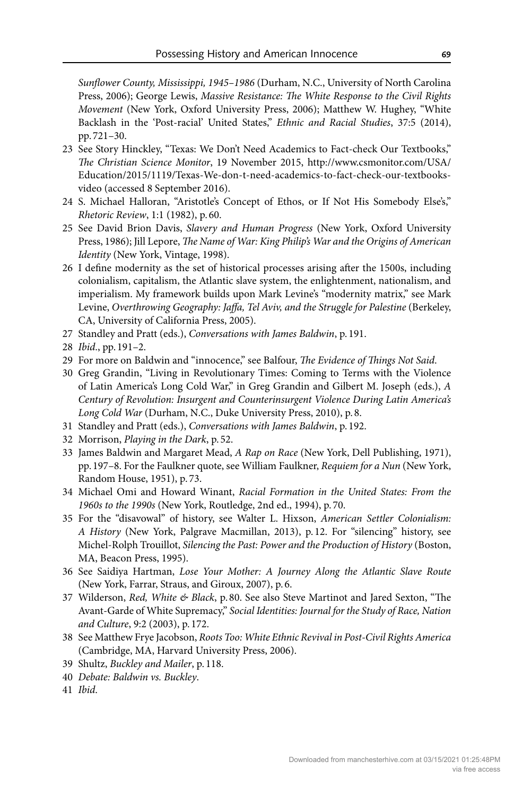*Sunflower County, Mississippi, 1945–1986* (Durham, N.C., University of North Carolina Press, 2006); George Lewis, *Massive Resistance: The White Response to the Civil Rights Movement* (New York, Oxford University Press, 2006); Matthew W. Hughey, "White Backlash in the 'Post-racial' United States," *Ethnic and Racial Studies*, 37:5 (2014), pp. 721–30.

- 23 See Story Hinckley, "Texas: We Don't Need Academics to Fact-check Our Textbooks," *The Christian Science Monitor*, 19 November 2015, [http://www.csmonitor.com/USA/](http://www.csmonitor.com/USA/Education/2015/1119/Texas-We-don-t-need-academics-to-fact-check-our-textbooks-video) [Education/2015/1119/Texas-We-don-t-need-academics-to-fact-check-our-textbooks](http://www.csmonitor.com/USA/Education/2015/1119/Texas-We-don-t-need-academics-to-fact-check-our-textbooks-video)[video](http://www.csmonitor.com/USA/Education/2015/1119/Texas-We-don-t-need-academics-to-fact-check-our-textbooks-video) (accessed 8 September 2016).
- 24 S. Michael Halloran, "Aristotle's Concept of Ethos, or If Not His Somebody Else's," *Rhetoric Review*, 1:1 (1982), p. 60.
- 25 See David Brion Davis, *Slavery and Human Progress* (New York, Oxford University Press, 1986); Jill Lepore, *The Name of War: King Philip's War and the Origins of American Identity* (New York, Vintage, 1998).
- 26 I define modernity as the set of historical processes arising after the 1500s, including colonialism, capitalism, the Atlantic slave system, the enlightenment, nationalism, and imperialism. My framework builds upon Mark Levine's "modernity matrix," see Mark Levine, *Overthrowing Geography: Jaffa, Tel Aviv, and the Struggle for Palestine* (Berkeley, CA, University of California Press, 2005).
- 27 Standley and Pratt (eds.), *Conversations with James Baldwin*, p. 191.
- 28 *Ibid*., pp. 191–2.
- 29 For more on Baldwin and "innocence," see Balfour, *The Evidence of Things Not Said*.
- 30 Greg Grandin, "Living in Revolutionary Times: Coming to Terms with the Violence of Latin America's Long Cold War," in Greg Grandin and Gilbert M. Joseph (eds.), *A Century of Revolution: Insurgent and Counterinsurgent Violence During Latin America's Long Cold War* (Durham, N.C., Duke University Press, 2010), p. 8.
- 31 Standley and Pratt (eds.), *Conversations with James Baldwin*, p. 192.
- 32 Morrison, *Playing in the Dark*, p. 52.
- 33 James Baldwin and Margaret Mead, *A Rap on Race* (New York, Dell Publishing, 1971), pp. 197–8. For the Faulkner quote, see William Faulkner, *Requiem for a Nun* (New York, Random House, 1951), p. 73.
- 34 Michael Omi and Howard Winant, *Racial Formation in the United States: From the 1960s to the 1990s* (New York, Routledge, 2nd ed., 1994), p. 70.
- 35 For the "disavowal" of history, see Walter L. Hixson, *American Settler Colonialism: A History* (New York, Palgrave Macmillan, 2013), p. 12. For "silencing" history, see Michel-Rolph Trouillot, *Silencing the Past: Power and the Production of History* (Boston, MA, Beacon Press, 1995).
- 36 See Saidiya Hartman, *Lose Your Mother: A Journey Along the Atlantic Slave Route* (New York, Farrar, Straus, and Giroux, 2007), p. 6.
- 37 Wilderson, *Red, White & Black*, p. 80. See also Steve Martinot and Jared Sexton, "The Avant-Garde of White Supremacy," *Social Identities: Journal for the Study of Race, Nation and Culture*, 9:2 (2003), p. 172.
- 38 See Matthew Frye Jacobson, *Roots Too: White Ethnic Revival in Post-Civil Rights America* (Cambridge, MA, Harvard University Press, 2006).
- 39 Shultz, *Buckley and Mailer*, p. 118.
- 40 *Debate: Baldwin vs. Buckley*.
- 41 *Ibid*.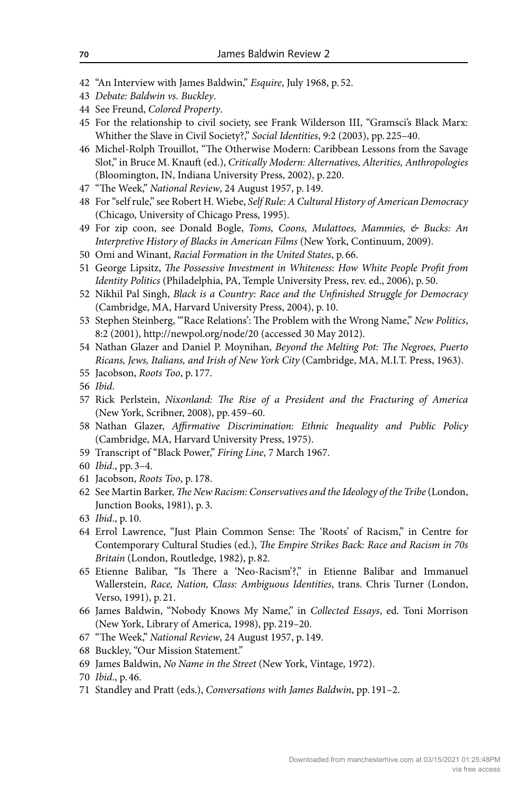- "An Interview with James Baldwin," *Esquire*, July 1968, p. 52.
- *Debate: Baldwin vs. Buckley*.
- See Freund, *Colored Property*.
- For the relationship to civil society, see Frank Wilderson III, "Gramsci's Black Marx: Whither the Slave in Civil Society?," *Social Identities*, 9:2 (2003), pp. 225–40.
- Michel-Rolph Trouillot, "The Otherwise Modern: Caribbean Lessons from the Savage Slot," in Bruce M. Knauft (ed.), *Critically Modern: Alternatives, Alterities, Anthropologies* (Bloomington, IN, Indiana University Press, 2002), p. 220.
- "The Week," *National Review*, 24 August 1957, p. 149.
- For "self rule," see Robert H. Wiebe, *Self Rule: A Cultural History of American Democracy* (Chicago, University of Chicago Press, 1995).
- For zip coon, see Donald Bogle, *Toms, Coons, Mulattoes, Mammies, & Bucks: An Interpretive History of Blacks in American Films* (New York, Continuum, 2009).
- Omi and Winant, *Racial Formation in the United States*, p. 66.
- George Lipsitz, *The Possessive Investment in Whiteness: How White People Profit from Identity Politics* (Philadelphia, PA, Temple University Press, rev. ed., 2006), p. 50.
- Nikhil Pal Singh, *Black is a Country: Race and the Unfinished Struggle for Democracy* (Cambridge, MA, Harvard University Press, 2004), p. 10.
- Stephen Steinberg, "'Race Relations': The Problem with the Wrong Name," *New Politics*, 8:2 (2001), <http://newpol.org/node/20>(accessed 30 May 2012).
- Nathan Glazer and Daniel P. Moynihan, *Beyond the Melting Pot: The Negroes, Puerto Ricans, Jews, Italians, and Irish of New York City* (Cambridge, MA, M.I.T. Press, 1963).
- Jacobson, *Roots Too*, p. 177.
- *Ibid*.
- Rick Perlstein, *Nixonland: The Rise of a President and the Fracturing of America* (New York, Scribner, 2008), pp. 459–60.
- Nathan Glazer, *Affirmative Discrimination: Ethnic Inequality and Public Policy* (Cambridge, MA, Harvard University Press, 1975).
- Transcript of "Black Power," *Firing Line*, 7 March 1967.
- *Ibid*., pp. 3–4.
- Jacobson, *Roots Too*, p. 178.
- See Martin Barker, *The New Racism: Conservatives and the Ideology of the Tribe* (London, Junction Books, 1981), p. 3.
- *Ibid*., p. 10.
- Errol Lawrence, "Just Plain Common Sense: The 'Roots' of Racism," in Centre for Contemporary Cultural Studies (ed.), *The Empire Strikes Back: Race and Racism in 70s Britain* (London, Routledge, 1982), p. 82.
- Etienne Balibar, "Is There a 'Neo-Racism'?," in Etienne Balibar and Immanuel Wallerstein, *Race, Nation, Class: Ambiguous Identities*, trans. Chris Turner (London, Verso, 1991), p. 21.
- James Baldwin, "Nobody Knows My Name," in *Collected Essays*, ed. Toni Morrison (New York, Library of America, 1998), pp. 219–20.
- "The Week," *National Review*, 24 August 1957, p. 149.
- Buckley, "Our Mission Statement."
- James Baldwin, *No Name in the Street* (New York, Vintage, 1972).
- *Ibid*., p. 46.
- Standley and Pratt (eds.), *Conversations with James Baldwin*, pp. 191–2.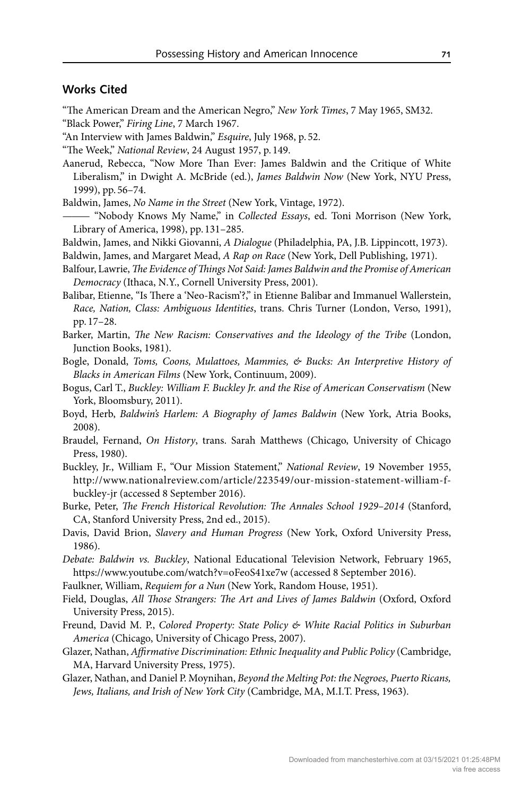### **Works Cited**

"The American Dream and the American Negro," *New York Times*, 7 May 1965, SM32. "Black Power," *Firing Line*, 7 March 1967.

"An Interview with James Baldwin," *Esquire*, July 1968, p. 52.

"The Week," *National Review*, 24 August 1957, p. 149.

Aanerud, Rebecca, "Now More Than Ever: James Baldwin and the Critique of White Liberalism," in Dwight A. McBride (ed.), *James Baldwin Now* (New York, NYU Press, 1999), pp. 56–74.

Baldwin, James, *No Name in the Street* (New York, Vintage, 1972).

——— "Nobody Knows My Name," in *Collected Essays*, ed. Toni Morrison (New York, Library of America, 1998), pp. 131–285.

Baldwin, James, and Nikki Giovanni, *A Dialogue* (Philadelphia, PA, J.B. Lippincott, 1973).

Baldwin, James, and Margaret Mead, *A Rap on Race* (New York, Dell Publishing, 1971).

Balfour, Lawrie, *The Evidence of Things Not Said: James Baldwin and the Promise of American Democracy* (Ithaca, N.Y., Cornell University Press, 2001).

Balibar, Etienne, "Is There a 'Neo-Racism'?," in Etienne Balibar and Immanuel Wallerstein, *Race, Nation, Class: Ambiguous Identities*, trans. Chris Turner (London, Verso, 1991), pp. 17–28.

Barker, Martin, *The New Racism: Conservatives and the Ideology of the Tribe* (London, Junction Books, 1981).

Bogle, Donald, *Toms, Coons, Mulattoes, Mammies, & Bucks: An Interpretive History of Blacks in American Films* (New York, Continuum, 2009).

- Bogus, Carl T., *Buckley: William F. Buckley Jr. and the Rise of American Conservatism* (New York, Bloomsbury, 2011).
- Boyd, Herb, *Baldwin's Harlem: A Biography of James Baldwin* (New York, Atria Books, 2008).
- Braudel, Fernand, *On History*, trans. Sarah Matthews (Chicago, University of Chicago Press, 1980).
- Buckley, Jr., William F., "Our Mission Statement," *National Review*, 19 November 1955, [http://www.nationalreview.com/article/223549/our-mission-statement-william-f](http://www.nationalreview.com/article/223549/our-mission-statement-william-f-buckley-jr)[buckley-jr](http://www.nationalreview.com/article/223549/our-mission-statement-william-f-buckley-jr) (accessed 8 September 2016).
- Burke, Peter, *The French Historical Revolution: The Annales School 1929–2014* (Stanford, CA, Stanford University Press, 2nd ed., 2015).
- Davis, David Brion, *Slavery and Human Progress* (New York, Oxford University Press, 1986).
- *Debate: Baldwin vs. Buckley*, National Educational Television Network, February 1965, [https://www.youtube.com/watch?v=oFeoS41xe7w](https://www.youtube.com/watch%3Fv%3DoFeoS41xe7w) (accessed 8 September 2016).
- Faulkner, William, *Requiem for a Nun* (New York, Random House, 1951).
- Field, Douglas, *All Those Strangers: The Art and Lives of James Baldwin* (Oxford, Oxford University Press, 2015).
- Freund, David M. P., *Colored Property: State Policy & White Racial Politics in Suburban America* (Chicago, University of Chicago Press, 2007).
- Glazer, Nathan, *Affirmative Discrimination: Ethnic Inequality and Public Policy* (Cambridge, MA, Harvard University Press, 1975).
- Glazer, Nathan, and Daniel P. Moynihan, *Beyond the Melting Pot: the Negroes, Puerto Ricans, Jews, Italians, and Irish of New York City* (Cambridge, MA, M.I.T. Press, 1963).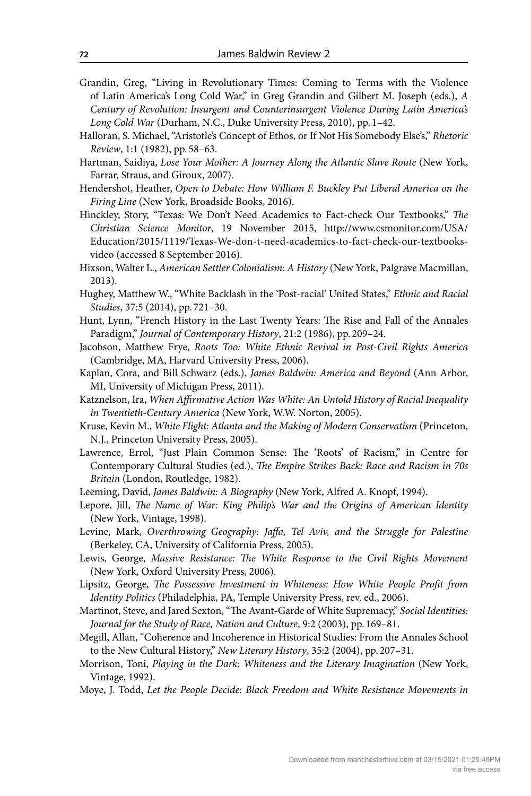- Grandin, Greg, "Living in Revolutionary Times: Coming to Terms with the Violence of Latin America's Long Cold War," in Greg Grandin and Gilbert M. Joseph (eds.), *A Century of Revolution: Insurgent and Counterinsurgent Violence During Latin America's Long Cold War* (Durham, N.C., Duke University Press, 2010), pp. 1–42.
- Halloran, S. Michael, "Aristotle's Concept of Ethos, or If Not His Somebody Else's," *Rhetoric Review*, 1:1 (1982), pp. 58–63.
- Hartman, Saidiya, *Lose Your Mother: A Journey Along the Atlantic Slave Route* (New York, Farrar, Straus, and Giroux, 2007).
- Hendershot, Heather, *Open to Debate: How William F. Buckley Put Liberal America on the Firing Line* (New York, Broadside Books, 2016).
- Hinckley, Story, "Texas: We Don't Need Academics to Fact-check Our Textbooks," *The Christian Science Monitor*, 19 November 2015, [http://www.csmonitor.com/USA/](http://www.csmonitor.com/USA/Education/2015/1119/Texas-We-don-t-need-academics-to-fact-check-our-textbooks-video) [Education/2015/1119/Texas-We-don-t-need-academics-to-fact-check-our-textbooks](http://www.csmonitor.com/USA/Education/2015/1119/Texas-We-don-t-need-academics-to-fact-check-our-textbooks-video)[video](http://www.csmonitor.com/USA/Education/2015/1119/Texas-We-don-t-need-academics-to-fact-check-our-textbooks-video) (accessed 8 September 2016).
- Hixson, Walter L., *American Settler Colonialism: A History* (New York, Palgrave Macmillan, 2013).
- Hughey, Matthew W., "White Backlash in the 'Post-racial' United States," *Ethnic and Racial Studies*, 37:5 (2014), pp. 721–30.
- Hunt, Lynn, "French History in the Last Twenty Years: The Rise and Fall of the Annales Paradigm," *Journal of Contemporary History*, 21:2 (1986), pp. 209–24.
- Jacobson, Matthew Frye, *Roots Too: White Ethnic Revival in Post-Civil Rights America* (Cambridge, MA, Harvard University Press, 2006).
- Kaplan, Cora, and Bill Schwarz (eds.), *James Baldwin: America and Beyond* (Ann Arbor, MI, University of Michigan Press, 2011).
- Katznelson, Ira, *When Affirmative Action Was White: An Untold History of Racial Inequality in Twentieth-Century America* (New York, W.W. Norton, 2005).
- Kruse, Kevin M., *White Flight: Atlanta and the Making of Modern Conservatism* (Princeton, N.J., Princeton University Press, 2005).
- Lawrence, Errol, "Just Plain Common Sense: The 'Roots' of Racism," in Centre for Contemporary Cultural Studies (ed.), *The Empire Strikes Back: Race and Racism in 70s Britain* (London, Routledge, 1982).
- Leeming, David, *James Baldwin: A Biography* (New York, Alfred A. Knopf, 1994).
- Lepore, Jill, *The Name of War: King Philip's War and the Origins of American Identity* (New York, Vintage, 1998).
- Levine, Mark, *Overthrowing Geography: Jaffa, Tel Aviv, and the Struggle for Palestine* (Berkeley, CA, University of California Press, 2005).
- Lewis, George, *Massive Resistance: The White Response to the Civil Rights Movement* (New York, Oxford University Press, 2006).
- Lipsitz, George, *The Possessive Investment in Whiteness: How White People Profit from Identity Politics* (Philadelphia, PA, Temple University Press, rev. ed., 2006).
- Martinot, Steve, and Jared Sexton, "The Avant-Garde of White Supremacy," *Social Identities: Journal for the Study of Race, Nation and Culture*, 9:2 (2003), pp. 169–81.
- Megill, Allan, "Coherence and Incoherence in Historical Studies: From the Annales School to the New Cultural History," *New Literary History*, 35:2 (2004), pp. 207–31.
- Morrison, Toni, *Playing in the Dark: Whiteness and the Literary Imagination* (New York, Vintage, 1992).
- Moye, J. Todd, *Let the People Decide: Black Freedom and White Resistance Movements in*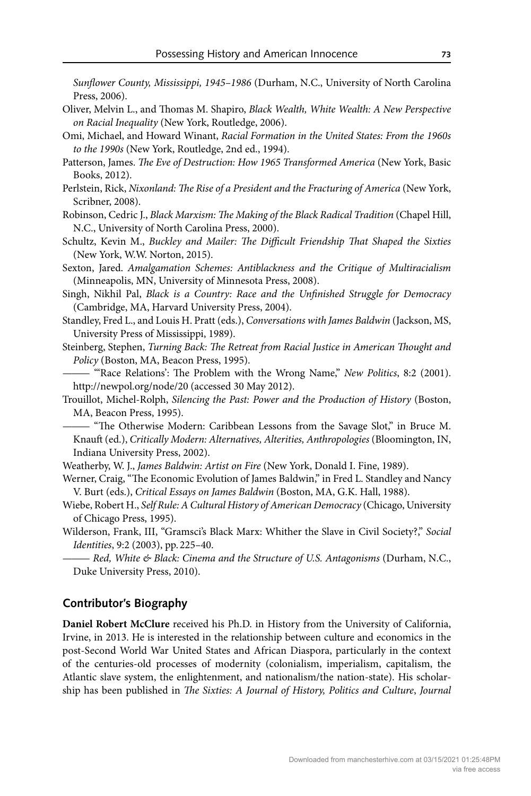*Sunflower County, Mississippi, 1945–1986* (Durham, N.C., University of North Carolina Press, 2006).

- Oliver, Melvin L., and Thomas M. Shapiro, *Black Wealth, White Wealth: A New Perspective on Racial Inequality* (New York, Routledge, 2006).
- Omi, Michael, and Howard Winant, *Racial Formation in the United States: From the 1960s to the 1990s* (New York, Routledge, 2nd ed., 1994).
- Patterson, James. *The Eve of Destruction: How 1965 Transformed America* (New York, Basic Books, 2012).
- Perlstein, Rick, *Nixonland: The Rise of a President and the Fracturing of America* (New York, Scribner, 2008).
- Robinson, Cedric J., *Black Marxism: The Making of the Black Radical Tradition* (Chapel Hill, N.C., University of North Carolina Press, 2000).
- Schultz, Kevin M., *Buckley and Mailer: The Difficult Friendship That Shaped the Sixties* (New York, W.W. Norton, 2015).
- Sexton, Jared. *Amalgamation Schemes: Antiblackness and the Critique of Multiracialism* (Minneapolis, MN, University of Minnesota Press, 2008).
- Singh, Nikhil Pal, *Black is a Country: Race and the Unfinished Struggle for Democracy* (Cambridge, MA, Harvard University Press, 2004).
- Standley, Fred L., and Louis H. Pratt (eds.), *Conversations with James Baldwin* (Jackson, MS, University Press of Mississippi, 1989).
- Steinberg, Stephen, *Turning Back: The Retreat from Racial Justice in American Thought and Policy* (Boston, MA, Beacon Press, 1995).

——— "'Race Relations': The Problem with the Wrong Name," *New Politics*, 8:2 (2001). <http://newpol.org/node/20>(accessed 30 May 2012).

- Trouillot, Michel-Rolph, *Silencing the Past: Power and the Production of History* (Boston, MA, Beacon Press, 1995).
	- ——— "The Otherwise Modern: Caribbean Lessons from the Savage Slot," in Bruce M. Knauft (ed.), *Critically Modern: Alternatives, Alterities, Anthropologies* (Bloomington, IN, Indiana University Press, 2002).

Weatherby, W. J., *James Baldwin: Artist on Fire* (New York, Donald I. Fine, 1989).

- Werner, Craig, "The Economic Evolution of James Baldwin," in Fred L. Standley and Nancy V. Burt (eds.), *Critical Essays on James Baldwin* (Boston, MA, G.K. Hall, 1988).
- Wiebe, Robert H., *Self Rule: A Cultural History of American Democracy* (Chicago, University of Chicago Press, 1995).
- Wilderson, Frank, III, "Gramsci's Black Marx: Whither the Slave in Civil Society?," *Social Identities*, 9:2 (2003), pp. 225–40.
	- ——— *Red, White & Black: Cinema and the Structure of U.S. Antagonisms* (Durham, N.C., Duke University Press, 2010).

#### **Contributor's Biography**

**Daniel Robert McClure** received his Ph.D. in History from the University of California, Irvine, in 2013. He is interested in the relationship between culture and economics in the post-Second World War United States and African Diaspora, particularly in the context of the centuries-old processes of modernity (colonialism, imperialism, capitalism, the Atlantic slave system, the enlightenment, and nationalism/the nation-state). His scholarship has been published in *The Sixties: A Journal of History, Politics and Culture*, *Journal*